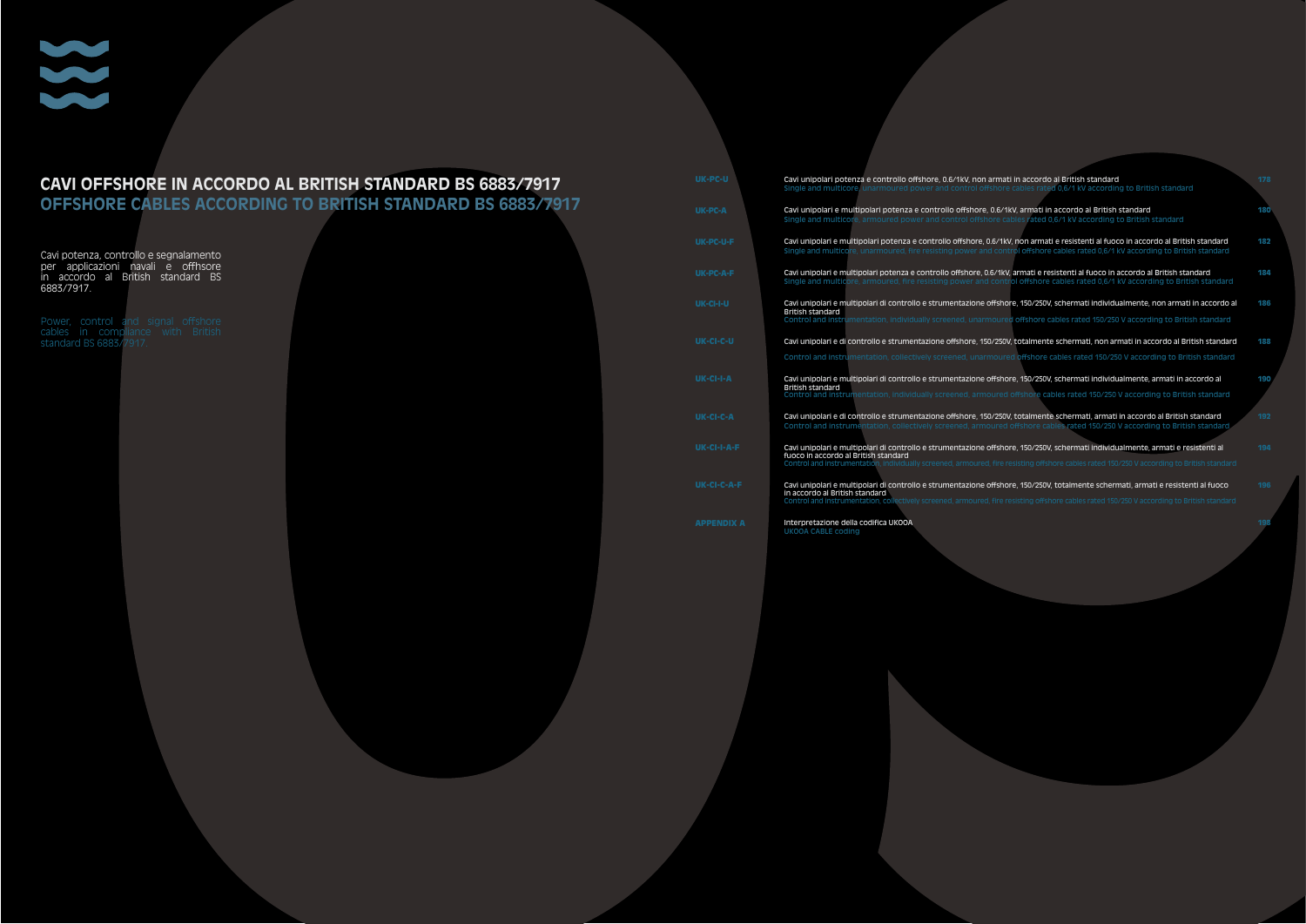#### **CAVI OFFSHORE IN ACCORDO AL BRITISH STANDARD BS 6883/7917**

**OFFSHORE CABLES ACCORDING TO BRITISH STANDARD BS 6883/7917**

Cavi potenza, controllo e segnalamento per applicazioni navali e offhsore in accordo al British standard BS 6883/7917.

Power, control and signal offshore cables in compliance with British standard BS 6883/7917.

| Cavi unipolari potenza e controllo offshore, 0.6/1kV, non armati in accordo al British standard<br>Single and multicore, unarmoured power and control offshore cables rated 0.6/1 kV according to British standard                                                                                                     | 178 |
|------------------------------------------------------------------------------------------------------------------------------------------------------------------------------------------------------------------------------------------------------------------------------------------------------------------------|-----|
| Cavi unipolari e multipolari potenza e controllo offshore, 0.6/1kV, armati in accordo al British standard<br>Single and multicore, armoured power and control offshore cables rated 0.6/1 kV according to British standard                                                                                             | 180 |
| Cavi unipolari e multipolari potenza e controllo offshore, 0.6/1kV, non armati e resistenti al fuoco in accordo al British standard<br>Single and multicore, unarmoured, fire resisting power and control offshore cables rated 0.6/1 kV according to British standard                                                 | 182 |
| Cavi unipolari e multipolari potenza e controllo offshore, 0.6/1kV, armati e resistenti al fuoco in accordo al British standard<br>Single and multicore, armoured, fire resisting power and control offshore cables rated 0.6/1 kV according to British standard                                                       | 184 |
| Cavi unipolari e multipolari di controllo e strumentazione offshore, 150/250V, schermati individualmente, non armati in accordo al<br><b>British standard</b><br>Control and instrumentation, individually screened, unarmoured offshore cables rated 150/250 V according to British standard                          | 186 |
| Cavi unipolari e di controllo e strumentazione offshore, 150/250V, totalmente schermati, non armati in accordo al British standard<br>Control and instrumentation, collectively screened, unarmoured offshore cables rated 150/250 V according to British standard                                                     | 188 |
| Cavi unipolari e multipolari di controllo e strumentazione offshore, 150/250V, schermati individualmente, armati in accordo al<br><b>British standard</b><br>Control and instrumentation, individually screened, armoured offshore cables rated 150/250 V according to British standard                                | 190 |
| Cavi unipolari e di controllo e strumentazione offshore, 150/250V, totalmente schermati, armati in accordo al British standard<br>Control and instrumentation, collectively screened, armoured offshore cables rated 150/250 V according to British standard.                                                          | 192 |
| Cavi unipolari e multipolari di controllo e strumentazione offshore, 150/250V, schermati individualmente, armati e resistenti al<br>fuoco in accordo al British standard<br>Control and instrumentation, individually screened, armoured, fire resisting offshore cables rated 150/250 V according to British standard | 194 |
| Cavi unipolari e multipolari di controllo e strumentazione offshore, 150/250V, totalmente schermati, armati e resistenti al fuoco<br>in accordo al British standard<br>Control and instrumentation, collectively screened, armoured, fire resisting offshore cables rated 150/250 V according to British standard      | 196 |
| Interpretazione della codifica UKOOA<br><b>UKOOA CABLE coding</b>                                                                                                                                                                                                                                                      | 198 |
|                                                                                                                                                                                                                                                                                                                        |     |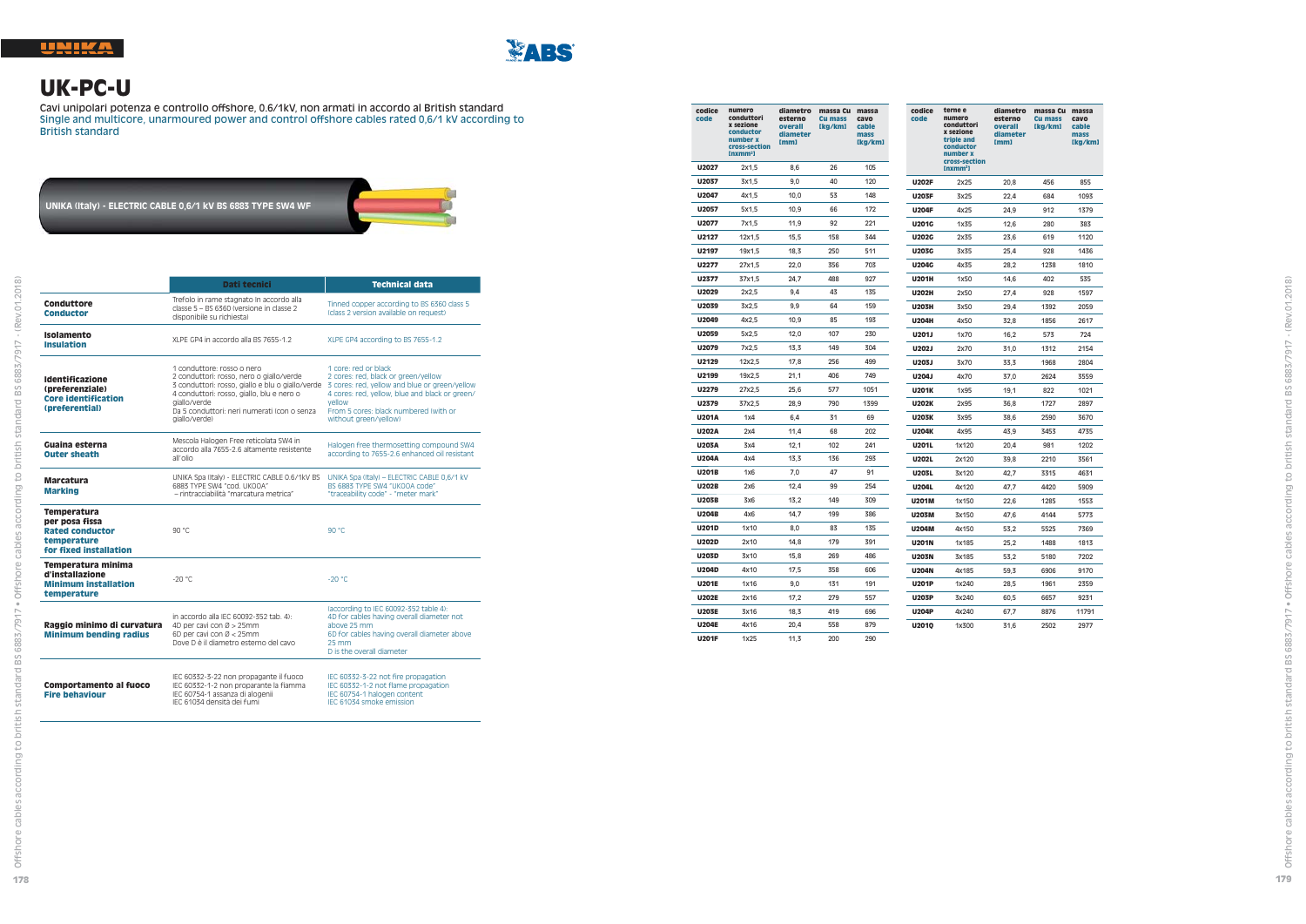

# **UK-PC-U**

Cavi unipolari potenza e controllo offshore, 0.6/1kV, non armati in accordo al British standard Single and multicore, unarmoured power and control offshore cables rated 0,6/1 kV according to British standard

# **UNIKA (Italy) - ELECTRIC CABLE 0,6/1 kV BS 6883 TYPE SW4 WF**

|                                                                                                  | Dati tecnici                                                                                                                                                                                                                                            | <b>Technical data</b>                                                                                                                                                                                                                      |
|--------------------------------------------------------------------------------------------------|---------------------------------------------------------------------------------------------------------------------------------------------------------------------------------------------------------------------------------------------------------|--------------------------------------------------------------------------------------------------------------------------------------------------------------------------------------------------------------------------------------------|
| Conduttore<br><b>Conductor</b>                                                                   | Trefolo in rame stagnato In accordo alla<br>classe 5 - BS 6360 (versione in classe 2<br>disponibile su richiesta)                                                                                                                                       | Tinned copper according to BS 6360 class 5<br>(class 2 version available on request)                                                                                                                                                       |
| Isolamento<br><b>Insulation</b>                                                                  | XLPE GP4 in accordo alla BS 7655-1.2                                                                                                                                                                                                                    | XLPE GP4 according to BS 7655-1.2                                                                                                                                                                                                          |
| <b>Identificazione</b><br>(preferenziale)<br><b>Core identification</b><br>(preferential)        | 1 conduttore: rosso o nero<br>2 conduttori: rosso, nero o giallo/verde<br>3 conduttori: rosso, giallo e blu o giallo/verde<br>4 conduttori: rosso, giallo, blu e nero o<br>giallo/verde<br>Da 5 conduttori: neri numerati (con o senza<br>giallo/verde) | 1 core: red or black<br>2 cores: red. black or green/vellow<br>3 cores: red, yellow and blue or green/yellow<br>4 cores: red, vellow, blue and black or green/<br>vellow<br>From 5 cores: black numbered (with or<br>without areen/vellow) |
| Guaina esterna<br><b>Outer sheath</b>                                                            | Mescola Halogen Free reticolata SW4 in<br>accordo alla 7655-2.6 altamente resistente<br>all'olio                                                                                                                                                        | Halogen free thermosetting compound SW4<br>according to 7655-2.6 enhanced oil resistant                                                                                                                                                    |
| <b>Marcatura</b><br><b>Marking</b>                                                               | UNIKA Spa (Italy) - ELECTRIC CABLE 0.6/1kV BS<br>6883 TYPE SW4 "cod. UKOOA"<br>- rintracciabilità "marcatura metrica"                                                                                                                                   | UNIKA Spa (Italy) - ELECTRIC CABLE 0,6/1 kV<br>BS 6883 TYPE SW4 "UKOOA code"<br>"traceability code" - "meter mark"                                                                                                                         |
| Temperatura<br>per posa fissa<br><b>Rated conductor</b><br>temperature<br>for fixed installation | 90 °C                                                                                                                                                                                                                                                   | 90 °C                                                                                                                                                                                                                                      |
| Temperatura minima<br>d'installazione<br><b>Minimum installation</b><br>temperature              | $-20^{\circ}$ C                                                                                                                                                                                                                                         | $-20 °C$                                                                                                                                                                                                                                   |
| Raggio minimo di curvatura<br><b>Minimum bending radius</b>                                      | in accordo alla IEC 60092-352 tab. 4):<br>4D per cavi con Ø > 25mm<br>6D per cavi con $\varnothing$ < 25mm<br>Dove D è il diametro esterno del cavo                                                                                                     | (according to IEC 60092-352 table 4):<br>4D for cables having overall diameter not<br>above 25 mm<br>6D for cables having overall diameter above<br>25 mm<br>D is the overall diameter                                                     |
| <b>Comportamento al fuoco</b><br><b>Fire behaviour</b>                                           | IEC 60332-3-22 non propagante il fuoco<br>IEC 60332-1-2 non proparante la fiamma<br>IEC 60754-1 assanza di alogenii<br>IEC 61034 densità dei fumi                                                                                                       | IEC 60332-3-22 not fire propagation<br>IEC 60332-1-2 not flame propagation<br>IEC 60754-1 halogen content<br>IFC 61034 smoke emission                                                                                                      |

| codice<br>code | numero<br>conduttori<br>x sezione<br>conductor<br>number x<br>cross-section<br>Inxmm <sup>2</sup> | diametro<br>esterno<br>overall<br>diameter<br>[mm] | massa Cu massa<br><b>Cu mass</b><br>[kg/km] | cavo<br>cable<br>mass<br>[kg/km] | codice<br>code | terne e<br>numero<br>conduttori<br>x sezione<br>triple and<br>conductor<br>number x | diametro<br>esterno<br>overall<br>diameter<br>[mm] | massa Cu massa<br><b>Cu mass</b><br>[kg/km] | cavo<br>cable<br>mass<br>[kg/km] |
|----------------|---------------------------------------------------------------------------------------------------|----------------------------------------------------|---------------------------------------------|----------------------------------|----------------|-------------------------------------------------------------------------------------|----------------------------------------------------|---------------------------------------------|----------------------------------|
| U2027          | 2x1,5                                                                                             | 8,6                                                | 26                                          | 105                              |                | cross-section<br>$Inxmm2$ ]                                                         |                                                    |                                             |                                  |
| U2037          | 3x1,5                                                                                             | 9,0                                                | 40                                          | 120                              | <b>U202F</b>   | 2x25                                                                                | 20,8                                               | 456                                         | 855                              |
| U2047          | 4x1,5                                                                                             | 10,0                                               | 53                                          | 148                              | <b>U203F</b>   | 3x25                                                                                | 22,4                                               | 684                                         | 1093                             |
| U2057          | 5x1.5                                                                                             | 10.9                                               | 66                                          | 172                              | <b>U204F</b>   | 4x25                                                                                | 24,9                                               | 912                                         | 1379                             |
| U2077          | 7x1,5                                                                                             | 11,9                                               | 92                                          | 221                              | U201G          | 1x35                                                                                | 12,6                                               | 280                                         | 383                              |
| U2127          | 12x1,5                                                                                            | 15,5                                               | 158                                         | 344                              | <b>U202G</b>   | 2x35                                                                                | 23,6                                               | 619                                         | 1120                             |
| U2197          | 19x1,5                                                                                            | 18,3                                               | 250                                         | 511                              | <b>U203G</b>   | 3x35                                                                                | 25,4                                               | 928                                         | 1436                             |
| U2277          | 27x1,5                                                                                            | 22,0                                               | 356                                         | 703                              | <b>U204G</b>   | 4x35                                                                                | 28,2                                               | 1238                                        | 1810                             |
| U2377          | 37x1,5                                                                                            | 24,7                                               | 488                                         | 927                              | <b>U201H</b>   | 1x50                                                                                | 14,6                                               | 402                                         | 535                              |
| U2029          | 2x2,5                                                                                             | 9,4                                                | 43                                          | 135                              | <b>U202H</b>   | 2x50                                                                                | 27,4                                               | 928                                         | 1597                             |
| U2039          | 3x2,5                                                                                             | 9,9                                                | 64                                          | 159                              | <b>U203H</b>   | 3x50                                                                                | 29,4                                               | 1392                                        | 2059                             |
| U2049          | 4x2.5                                                                                             | 10.9                                               | 85                                          | 193                              | <b>U204H</b>   | 4x50                                                                                | 32,8                                               | 1856                                        | 2617                             |
| U2059          | 5x2,5                                                                                             | 12,0                                               | 107                                         | 230                              | U201J          | 1x70                                                                                | 16,2                                               | 573                                         | 724                              |
| U2079          | 7x2,5                                                                                             | 13,3                                               | 149                                         | 304                              | U202J          | 2x70                                                                                | 31,0                                               | 1312                                        | 2154                             |
| U2129          | 12x2,5                                                                                            | 17,8                                               | 256                                         | 499                              | U203J          | 3x70                                                                                | 33,3                                               | 1968                                        | 2804                             |
| U2199          | 19x2,5                                                                                            | 21,1                                               | 406                                         | 749                              | U204J          | 4x70                                                                                | 37,0                                               | 2624                                        | 3559                             |
| U2279          | 27x2,5                                                                                            | 25,6                                               | 577                                         | 1051                             | <b>U201K</b>   | 1x95                                                                                | 19,1                                               | 822                                         | 1021                             |
| U2379          | 37x2,5                                                                                            | 28,9                                               | 790                                         | 1399                             | <b>U202K</b>   | 2x95                                                                                | 36,8                                               | 1727                                        | 2897                             |
| <b>U201A</b>   | 1x4                                                                                               | 6,4                                                | 31                                          | 69                               | <b>U203K</b>   | 3x95                                                                                | 38,6                                               | 2590                                        | 3670                             |
| U202A          | 2x4                                                                                               | 11,4                                               | 68                                          | 202                              | <b>U204K</b>   | 4x95                                                                                | 43.9                                               | 3453                                        | 4735                             |
| U203A          | 3x4                                                                                               | 12,1                                               | 102                                         | 241                              | U201L          | 1x120                                                                               | 20.4                                               | 981                                         | 1202                             |
| U204A          | 4x4                                                                                               | 13,3                                               | 136                                         | 293                              | U202L          | 2x120                                                                               | 39.8                                               | 2210                                        | 3561                             |
| <b>U201B</b>   | 1x6                                                                                               | 7,0                                                | 47                                          | 91                               | U203L          | 3x120                                                                               | 42,7                                               | 3315                                        | 4631                             |
| <b>U202B</b>   | 2x6                                                                                               | 12,4                                               | 99                                          | 254                              | U204L          | 4x120                                                                               | 47.7                                               | 4420                                        | 5909                             |
| <b>U203B</b>   | 3x6                                                                                               | 13,2                                               | 149                                         | 309                              | U201M          | 1x150                                                                               | 22,6                                               | 1285                                        | 1553                             |
| <b>U204B</b>   | 4x6                                                                                               | 14,7                                               | 199                                         | 386                              | <b>U203M</b>   | 3x150                                                                               | 47,6                                               | 4144                                        | 5773                             |
| U201D          | 1x10                                                                                              | 8,0                                                | 83                                          | 135                              | <b>U204M</b>   | 4x150                                                                               | 53,2                                               | 5525                                        | 7369                             |
| U202D          | 2x10                                                                                              | 14,8                                               | 179                                         | 391                              | <b>U201N</b>   | 1x185                                                                               | 25,2                                               | 1488                                        | 1813                             |
| U203D          | 3x10                                                                                              | 15,8                                               | 269                                         | 486                              | <b>U203N</b>   | 3x185                                                                               | 53,2                                               | 5180                                        | 7202                             |
| U204D          | 4x10                                                                                              | 17,5                                               | 358                                         | 606                              | <b>U204N</b>   | 4x185                                                                               | 59,3                                               | 6906                                        | 9170                             |
| <b>U201E</b>   | 1x16                                                                                              | 9,0                                                | 131                                         | 191                              | <b>U201P</b>   | 1x240                                                                               | 28,5                                               | 1961                                        | 2359                             |
| <b>U202E</b>   | 2x16                                                                                              | 17,2                                               | 279                                         | 557                              | <b>U203P</b>   | 3x240                                                                               | 60,5                                               | 6657                                        | 9231                             |
| <b>U203E</b>   | 3x16                                                                                              | 18,3                                               | 419                                         | 696                              | <b>U204P</b>   | 4x240                                                                               | 67,7                                               | 8876                                        | 11791                            |
| <b>U204E</b>   | 4x16                                                                                              | 20,4                                               | 558                                         | 879                              | U2010          | 1x300                                                                               | 31,6                                               | 2502                                        | 2977                             |
| <b>U201F</b>   | 1x25                                                                                              | 11,3                                               | 200                                         | 290                              |                |                                                                                     |                                                    |                                             |                                  |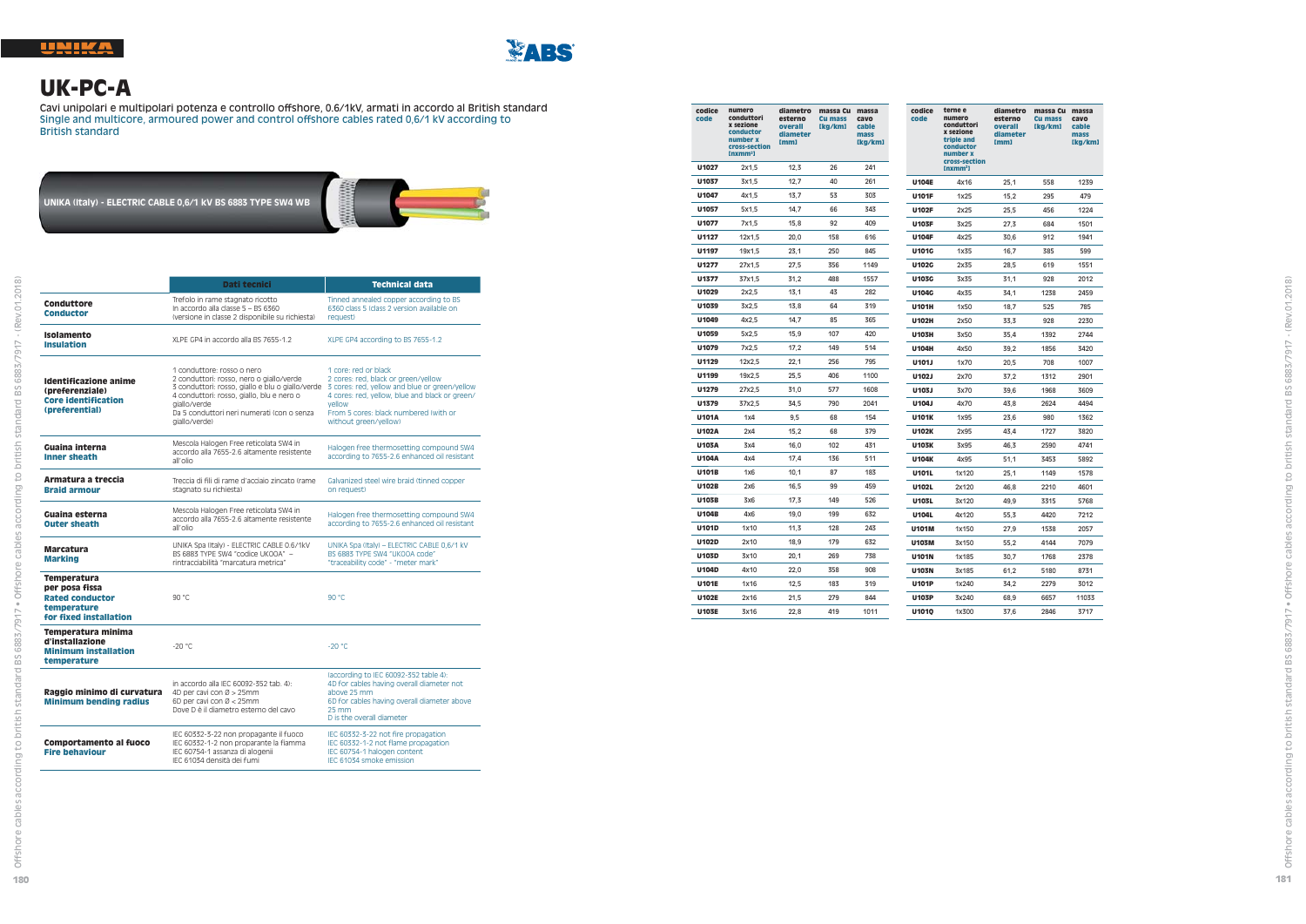

# **UK-PC-A**

 Cavi unipolari e multipolari potenza e controllo offshore, 0.6/1kV, armati in accordo al British standard Single and multicore, armoured power and control offshore cables rated 0,6/1 kV according to British standard

**UNIKA (Italy) - ELECTRIC CABLE 0,6/1 kV BS 6883 TYPE SW4 WB**



|                                                                                                         | Dati tecnici                                                                                                                                                                                                                                           | <b>Technical data</b>                                                                                                                                                                                                                      |
|---------------------------------------------------------------------------------------------------------|--------------------------------------------------------------------------------------------------------------------------------------------------------------------------------------------------------------------------------------------------------|--------------------------------------------------------------------------------------------------------------------------------------------------------------------------------------------------------------------------------------------|
| Conduttore<br><b>Conductor</b>                                                                          | Trefolo in rame stagnato ricotto<br>In accordo alla classe 5 - BS 6360<br>(versione in classe 2 disponibile su richiesta)                                                                                                                              | Tinned annealed copper according to BS<br>6360 class 5 (class 2 version available on<br>request)                                                                                                                                           |
| Isolamento<br><b>Insulation</b>                                                                         | XLPE GP4 in accordo alla BS 7655-1.2                                                                                                                                                                                                                   | XLPE GP4 according to BS 7655-1.2                                                                                                                                                                                                          |
| Identificazione anime<br>(preferenziale)<br><b>Core identification</b><br>(preferential)                | 1 conduttore: rosso o nero<br>2 conduttori: rosso, nero o giallo/verde<br>3 conduttori: rosso, giallo e blu o giallo/verde<br>4 conduttori: rosso, giallo, blu e nero o<br>giallo/verde<br>Da 5 conduttori neri numerati (con o senza<br>giallo/verde) | 1 core: red or black<br>2 cores: red. black or green/yellow<br>3 cores: red, yellow and blue or green/yellow<br>4 cores: red, yellow, blue and black or green/<br>vellow<br>From 5 cores: black numbered (with or<br>without areen/vellow) |
| Guaina interna<br><b>Inner sheath</b>                                                                   | Mescola Halogen Free reticolata SW4 in<br>accordo alla 7655-2.6 altamente resistente<br>all'olio                                                                                                                                                       | Halogen free thermosetting compound SW4<br>according to 7655-2.6 enhanced oil resistant                                                                                                                                                    |
| Armatura a treccia<br><b>Braid armour</b>                                                               | Treccia di fili di rame d'acciaio zincato (rame<br>stagnato su richiesta)                                                                                                                                                                              | Galvanized steel wire braid (tinned copper<br>on request)                                                                                                                                                                                  |
| Guaina esterna<br><b>Outer sheath</b>                                                                   | Mescola Halogen Free reticolata SW4 in<br>accordo alla 7655-2.6 altamente resistente<br>all'olio                                                                                                                                                       | Halogen free thermosetting compound SW4<br>according to 7655-2.6 enhanced oil resistant                                                                                                                                                    |
| <b>Marcatura</b><br><b>Marking</b>                                                                      | UNIKA Spa (Italy) - ELECTRIC CABLE 0.6/1kV<br>BS 6883 TYPE SW4 "codice UKOOA" -<br>rintracciabilità "marcatura metrica"                                                                                                                                | UNIKA Spa (Italy) - ELECTRIC CABLE 0,6/1 kV<br>BS 6883 TYPE SW4 "UKOOA code"<br>"traceability code" - "meter mark"                                                                                                                         |
| <b>Temperatura</b><br>per posa fissa<br><b>Rated conductor</b><br>temperature<br>for fixed installation | 90 °C                                                                                                                                                                                                                                                  | 90 °C                                                                                                                                                                                                                                      |
| Temperatura minima<br>d'installazione<br><b>Minimum installation</b><br>temperature                     | $-20 °C$                                                                                                                                                                                                                                               | $-20 °C$                                                                                                                                                                                                                                   |
| Raggio minimo di curvatura<br><b>Minimum bending radius</b>                                             | in accordo alla IEC 60092-352 tab. 4):<br>4D per cavi con Ø > 25mm<br>6D per cavi con $\varnothing$ < 25mm<br>Dove D è il diametro esterno del cavo                                                                                                    | (according to IEC 60092-352 table 4):<br>4D for cables having overall diameter not<br>above 25 mm<br>6D for cables having overall diameter above<br>25 mm<br>D is the overall diameter                                                     |
| Comportamento al fuoco<br><b>Fire behaviour</b>                                                         | IEC 60332-3-22 non propagante il fuoco<br>IEC 60332-1-2 non proparante la fiamma<br>IEC 60754-1 assanza di alogenii<br>IEC 61034 densità dei fumi                                                                                                      | IEC 60332-3-22 not fire propagation<br>IEC 60332-1-2 not flame propagation<br>IEC 60754-1 halogen content<br>IEC 61034 smoke emission                                                                                                      |

| codice<br>code | numero<br>conduttori<br>x sezione<br>conductor<br>number x<br>cross-section<br>[nxmm <sup>2</sup> ] | diametro<br>esterno<br>overall<br>diameter<br>[mm] | massa Cu massa<br><b>Cu mass</b><br>[kg/km] | cavo<br>cable<br>mass<br>[kg/km] | codice<br>code | terne e<br>numero<br>conduttori<br>x sezione<br>triple and<br>conductor<br>number x<br>cross-section | diametro<br>esterno<br>overall<br>diameter<br>mm1 | massa Cu massa<br><b>Cu</b> mass<br>[kg/km] | cavo<br>cable<br>mass<br>[kg/km] |
|----------------|-----------------------------------------------------------------------------------------------------|----------------------------------------------------|---------------------------------------------|----------------------------------|----------------|------------------------------------------------------------------------------------------------------|---------------------------------------------------|---------------------------------------------|----------------------------------|
| U1027          | 2x1.5                                                                                               | 12,3                                               | 26                                          | 241                              |                | [nxmm <sup>2</sup> ]                                                                                 |                                                   |                                             |                                  |
| U1037          | 3x1.5                                                                                               | 12,7                                               | 40                                          | 261                              | <b>U104E</b>   | 4x16                                                                                                 | 25,1                                              | 558                                         | 1239                             |
| U1047          | 4x1,5                                                                                               | 13,7                                               | 53                                          | 303                              | <b>U101F</b>   | 1x25                                                                                                 | 15,2                                              | 295                                         | 479                              |
| U1057          | 5x1.5                                                                                               | 14.7                                               | 66                                          | 343                              | U102F          | 2x25                                                                                                 | 25,5                                              | 456                                         | 1224                             |
| U1077          | 7x1.5                                                                                               | 15,8                                               | 92                                          | 409                              | <b>U103F</b>   | 3x25                                                                                                 | 27,3                                              | 684                                         | 1501                             |
| U1127          | 12x1,5                                                                                              | 20,0                                               | 158                                         | 616                              | <b>U104F</b>   | 4x25                                                                                                 | 30.6                                              | 912                                         | 1941                             |
| U1197          | 19x1.5                                                                                              | 23,1                                               | 250                                         | 845                              | U101G          | 1x35                                                                                                 | 16.7                                              | 385                                         | 599                              |
| U1277          | 27x1,5                                                                                              | 27,5                                               | 356                                         | 1149                             | U102G          | 2x35                                                                                                 | 28,5                                              | 619                                         | 1551                             |
| U1377          | 37x1.5                                                                                              | 31.2                                               | 488                                         | 1557                             | <b>U103G</b>   | 3x35                                                                                                 | 31,1                                              | 928                                         | 2012                             |
| U1029          | 2x2,5                                                                                               | 13,1                                               | 43                                          | 282                              | U104G          | 4x35                                                                                                 | 34,1                                              | 1238                                        | 2459                             |
| U1039          | 3x2,5                                                                                               | 13,8                                               | 64                                          | 319                              | <b>U101H</b>   | 1x50                                                                                                 | 18.7                                              | 525                                         | 785                              |
| U1049          | 4x2.5                                                                                               | 14.7                                               | 85                                          | 365                              | U102H          | 2x50                                                                                                 | 33,3                                              | 928                                         | 2230                             |
| U1059          | 5x2,5                                                                                               | 15,9                                               | 107                                         | 420                              | <b>U103H</b>   | 3x50                                                                                                 | 35,4                                              | 1392                                        | 2744                             |
| U1079          | 7x2.5                                                                                               | 17,2                                               | 149                                         | 514                              | <b>U104H</b>   | 4x50                                                                                                 | 39,2                                              | 1856                                        | 3420                             |
| U1129          | 12x2,5                                                                                              | 22,1                                               | 256                                         | 795                              | U101J          | 1x70                                                                                                 | 20,5                                              | 708                                         | 1007                             |
| U1199          | 19x2.5                                                                                              | 25,5                                               | 406                                         | 1100                             | U102J          | 2x70                                                                                                 | 37,2                                              | 1312                                        | 2901                             |
| U1279          | 27x2.5                                                                                              | 31.0                                               | 577                                         | 1608                             | U103J          | 3x70                                                                                                 | 39,6                                              | 1968                                        | 3609                             |
| U1379          | 37x2,5                                                                                              | 34,5                                               | 790                                         | 2041                             | U104J          | 4x70                                                                                                 | 43,8                                              | 2624                                        | 4494                             |
| U101A          | 1x4                                                                                                 | 9,5                                                | 68                                          | 154                              | <b>U101K</b>   | 1x95                                                                                                 | 23,6                                              | 980                                         | 1362                             |
| U102A          | 2x4                                                                                                 | 15,2                                               | 68                                          | 379                              | U102K          | 2x95                                                                                                 | 43,4                                              | 1727                                        | 3820                             |
| <b>U103A</b>   | 3x4                                                                                                 | 16,0                                               | 102                                         | 431                              | <b>U103K</b>   | 3x95                                                                                                 | 46,3                                              | 2590                                        | 4741                             |
| <b>U104A</b>   | 4x4                                                                                                 | 17,4                                               | 136                                         | 511                              | <b>U104K</b>   | 4x95                                                                                                 | 51,1                                              | 3453                                        | 5892                             |
| <b>U101B</b>   | 1x6                                                                                                 | 10,1                                               | 87                                          | 183                              | U101L          | 1x120                                                                                                | 25,1                                              | 1149                                        | 1578                             |
| <b>U102B</b>   | 2x6                                                                                                 | 16,5                                               | 99                                          | 459                              | U102L          | 2x120                                                                                                | 46.8                                              | 2210                                        | 4601                             |
| <b>U103B</b>   | 3x6                                                                                                 | 17,3                                               | 149                                         | 526                              | U103L          | 3x120                                                                                                | 49,9                                              | 3315                                        | 5768                             |
| U104B          | 4x6                                                                                                 | 19.0                                               | 199                                         | 632                              | U104L          | 4x120                                                                                                | 55,3                                              | 4420                                        | 7212                             |
| U101D          | 1x10                                                                                                | 11,3                                               | 128                                         | 243                              | <b>U101M</b>   | 1x150                                                                                                | 27,9                                              | 1538                                        | 2057                             |
| U102D          | 2x10                                                                                                | 18,9                                               | 179                                         | 632                              | <b>U103M</b>   | 3x150                                                                                                | 55,2                                              | 4144                                        | 7079                             |
| U103D          | 3x10                                                                                                | 20,1                                               | 269                                         | 738                              | <b>U101N</b>   | 1x185                                                                                                | 30,7                                              | 1768                                        | 2378                             |
| U104D          | 4x10                                                                                                | 22,0                                               | 358                                         | 908                              | <b>U103N</b>   | 3x185                                                                                                | 61,2                                              | 5180                                        | 8731                             |
| <b>U101E</b>   | 1x16                                                                                                | 12.5                                               | 183                                         | 319                              | <b>U101P</b>   | 1x240                                                                                                | 34,2                                              | 2279                                        | 3012                             |
| <b>U102E</b>   | 2x16                                                                                                | 21,5                                               | 279                                         | 844                              | U103P          | 3x240                                                                                                | 68,9                                              | 6657                                        | 11033                            |
| <b>U103E</b>   | 3x16                                                                                                | 22.8                                               | 419                                         | 1011                             | U1010          | 1x300                                                                                                | 37.6                                              | 2846                                        | 3717                             |

ding to british standard BS 6883/7917 - (Rev.01.2018)

ndard BS 6883/7917 · Offshore cables accon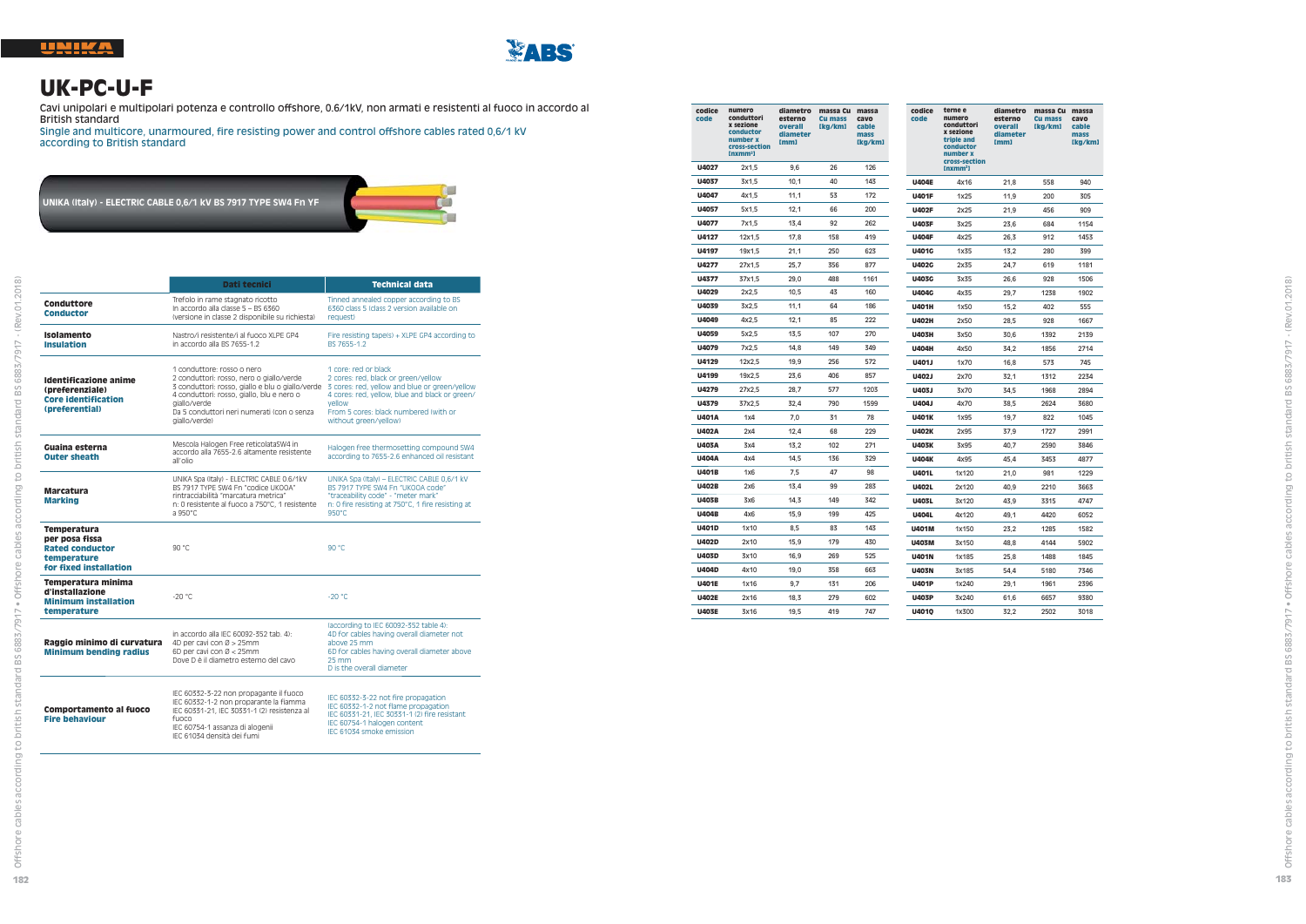

**182**

Ë

Offshore cables according to british standard BS 6883/7917 • Offshore cables according to british standard BS 6883/7917 - (Rev.01.2018)

 $\overline{\mathcal{C}}$ 

 $.2018$ 

 $\overline{5}$ å

7917

SS  $\overline{a}$ 

 $\circ$  $\overline{\bigcirc}$ 



#### **UK-PC-U-F**

Cavi unipolari e multipolari potenza e controllo offshore, 0.6/1kV, non armati e resistenti al fuoco in accordo al British standard

Single and multicore, unarmoured, fire resisting power and control offshore cables rated 0,6/1 kV according to British standard

**UNIKA (Italy) - ELECTRIC CABLE 0,6/1 kV BS 7917 TYPE SW4 Fn YF**



| codice<br>code | numero<br>conduttori<br>x sezione<br>conductor<br>number x<br>cross-section<br>Inxmm <sub>3</sub> | diametro<br>esterno<br>overall<br>diameter<br>[mm] | massa Cu<br><b>Cu mass</b><br>[kg/km] | massa<br>cavo<br>cable<br>mass<br>[kg/km] | codice<br>code | terne e<br>numero<br>conduttori<br>x sezione<br>triple and<br>conductor<br>number x<br>cross-section | diametro<br>esterno<br>overall<br>diameter<br>[mm] | massa Cu massa<br><b>Cu mass</b><br>[kg/km] | cavo<br>cable<br>mass<br>[kg/km] |
|----------------|---------------------------------------------------------------------------------------------------|----------------------------------------------------|---------------------------------------|-------------------------------------------|----------------|------------------------------------------------------------------------------------------------------|----------------------------------------------------|---------------------------------------------|----------------------------------|
| U4027          | 2x1,5                                                                                             | 9,6                                                | 26                                    | 126                                       |                | $Inxmm2$ ]                                                                                           |                                                    |                                             |                                  |
| U4037          | 3x1,5                                                                                             | 10,1                                               | 40                                    | 143                                       | <b>U404E</b>   | 4x16                                                                                                 | 21,8                                               | 558                                         | 940                              |
| U4047          | 4x1,5                                                                                             | 11,1                                               | 53                                    | 172                                       | <b>U401F</b>   | 1x25                                                                                                 | 11,9                                               | 200                                         | 305                              |
| U4057          | 5x1,5                                                                                             | 12,1                                               | 66                                    | 200                                       | <b>U402F</b>   | 2x25                                                                                                 | 21,9                                               | 456                                         | 909                              |
| U4077          | 7x1,5                                                                                             | 13,4                                               | 92                                    | 262                                       | <b>U403F</b>   | 3x25                                                                                                 | 23,6                                               | 684                                         | 1154                             |
| U4127          | 12x1,5                                                                                            | 17,8                                               | 158                                   | 419                                       | <b>U404F</b>   | 4x25                                                                                                 | 26,3                                               | 912                                         | 1453                             |
| <b>U4197</b>   | 19x1,5                                                                                            | 21,1                                               | 250                                   | 623                                       | <b>U401G</b>   | 1x35                                                                                                 | 13,2                                               | 280                                         | 399                              |
| U4277          | 27x1,5                                                                                            | 25,7                                               | 356                                   | 877                                       | <b>U402G</b>   | 2x35                                                                                                 | 24,7                                               | 619                                         | 1181                             |
| U4377          | 37x1,5                                                                                            | 29,0                                               | 488                                   | 1161                                      | <b>U403G</b>   | 3x35                                                                                                 | 26.6                                               | 928                                         | 1506                             |
| U4029          | 2x2,5                                                                                             | 10,5                                               | 43                                    | 160                                       | <b>U404G</b>   | 4x35                                                                                                 | 29,7                                               | 1238                                        | 1902                             |
| U4039          | 3x2,5                                                                                             | 11,1                                               | 64                                    | 186                                       | <b>U401H</b>   | 1x50                                                                                                 | 15.2                                               | 402                                         | 555                              |
| U4049          | 4x2.5                                                                                             | 12.1                                               | 85                                    | 222                                       | <b>U402H</b>   | 2x50                                                                                                 | 28,5                                               | 928                                         | 1667                             |
| U4059          | 5x2,5                                                                                             | 13.5                                               | 107                                   | 270                                       | <b>U403H</b>   | 3x50                                                                                                 | 30,6                                               | 1392                                        | 2139                             |
| <b>U4079</b>   | 7x2,5                                                                                             | 14,8                                               | 149                                   | 349                                       | <b>U404H</b>   | 4x50                                                                                                 | 34,2                                               | 1856                                        | 2714                             |
| U4129          | 12x2,5                                                                                            | 19,9                                               | 256                                   | 572                                       | U401J          | 1x70                                                                                                 | 16,8                                               | 573                                         | 745                              |
| U4199          | 19x2,5                                                                                            | 23,6                                               | 406                                   | 857                                       | U402J          | 2x70                                                                                                 | 32.1                                               | 1312                                        | 2234                             |
| U4279          | 27x2,5                                                                                            | 28,7                                               | 577                                   | 1203                                      | U403J          | 3x70                                                                                                 | 34,5                                               | 1968                                        | 2894                             |
| U4379          | 37x2,5                                                                                            | 32,4                                               | 790                                   | 1599                                      | U404J          | 4x70                                                                                                 | 38.5                                               | 2624                                        | 3680                             |
| <b>U401A</b>   | 1x4                                                                                               | 7,0                                                | 31                                    | 78                                        | <b>U401K</b>   | 1x95                                                                                                 | 19,7                                               | 822                                         | 1045                             |
| <b>U402A</b>   | 2x4                                                                                               | 12,4                                               | 68                                    | 229                                       | <b>U402K</b>   | 2x95                                                                                                 | 37,9                                               | 1727                                        | 2991                             |
| <b>U403A</b>   | 3x4                                                                                               | 13,2                                               | 102                                   | 271                                       | <b>U403K</b>   | 3x95                                                                                                 | 40,7                                               | 2590                                        | 3846                             |
| <b>U404A</b>   | 4x4                                                                                               | 14,5                                               | 136                                   | 329                                       | <b>U404K</b>   | 4x95                                                                                                 | 45,4                                               | 3453                                        | 4877                             |
| <b>U401B</b>   | 1x6                                                                                               | 7,5                                                | 47                                    | 98                                        | U401L          | 1x120                                                                                                | 21,0                                               | 981                                         | 1229                             |
| <b>U402B</b>   | 2x6                                                                                               | 13,4                                               | 99                                    | 283                                       | U402L          | 2x120                                                                                                | 40,9                                               | 2210                                        | 3663                             |
| <b>U403B</b>   | 3x6                                                                                               | 14,3                                               | 149                                   | 342                                       | <b>U403L</b>   | 3x120                                                                                                | 43,9                                               | 3315                                        | 4747                             |
| <b>U404B</b>   | 4x6                                                                                               | 15,9                                               | 199                                   | 425                                       | <b>U404L</b>   | 4x120                                                                                                | 49.1                                               | 4420                                        | 6052                             |
| <b>U401D</b>   | 1x10                                                                                              | 8,5                                                | 83                                    | 143                                       | <b>U401M</b>   | 1x150                                                                                                | 23,2                                               | 1285                                        | 1582                             |
| <b>U402D</b>   | 2x10                                                                                              | 15.9                                               | 179                                   | 430                                       | <b>U403M</b>   | 3x150                                                                                                | 48.8                                               | 4144                                        | 5902                             |
| <b>U403D</b>   | 3x10                                                                                              | 16,9                                               | 269                                   | 525                                       | <b>U401N</b>   | 1x185                                                                                                | 25.8                                               | 1488                                        | 1845                             |
| <b>U404D</b>   | 4x10                                                                                              | 19.0                                               | 358                                   | 663                                       | <b>U403N</b>   | 3x185                                                                                                | 54.4                                               | 5180                                        | 7346                             |
| <b>U401E</b>   | 1x16                                                                                              | 9,7                                                | 131                                   | 206                                       | <b>U401P</b>   | 1x240                                                                                                | 29.1                                               | 1961                                        | 2396                             |
| <b>U402E</b>   | 2x16                                                                                              | 18,3                                               | 279                                   | 602                                       | <b>U403P</b>   | 3x240                                                                                                | 61,6                                               | 6657                                        | 9380                             |
| <b>U403E</b>   | 3x16                                                                                              | 19.5                                               | 419                                   | 747                                       | <b>U4010</b>   | 1x300                                                                                                | 32.2                                               | 2502                                        | 3018                             |

 **cable mass [kg/km]**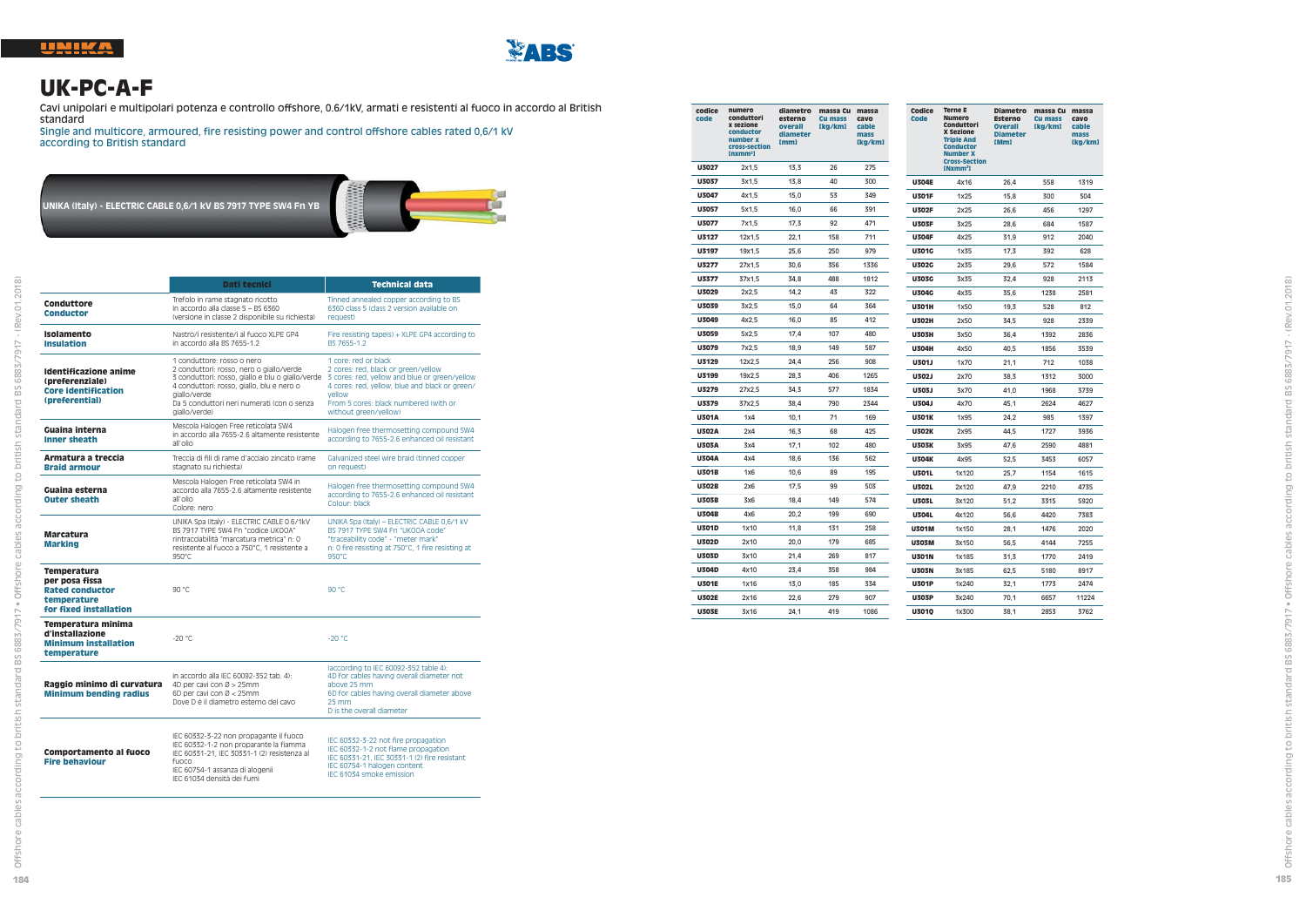

#### **UK-PC-A-F**

Cavi unipolari e multipolari potenza e controllo offshore, 0.6/1kV, armati e resistenti al fuoco in accordo al British standard

Single and multicore, armoured, fire resisting power and control offshore cables rated 0,6/1 kV according to British standard

**UNIKA (Italy) - ELECTRIC CABLE 0,6/1 kV BS 7917 TYPE SW4 Fn YB**



|                                                                                                  | Dati tecnici                                                                                                                                                                                                                                           | <b>Technical data</b>                                                                                                                                                                                                                      |
|--------------------------------------------------------------------------------------------------|--------------------------------------------------------------------------------------------------------------------------------------------------------------------------------------------------------------------------------------------------------|--------------------------------------------------------------------------------------------------------------------------------------------------------------------------------------------------------------------------------------------|
| Conduttore<br><b>Conductor</b>                                                                   | Trefolo in rame stagnato ricotto<br>In accordo alla classe 5 - BS 6360<br>(versione in classe 2 disponibile su richiesta)                                                                                                                              | Tinned annealed copper according to BS<br>6360 class 5 (class 2 version available on<br>request)                                                                                                                                           |
| Isolamento<br><b>Insulation</b>                                                                  | Nastro/i resistente/i al fuoco XI PE GP4<br>in accordo alla BS 7655-1.2                                                                                                                                                                                | Fire resisting tape(s) + XLPE GP4 according to<br>BS 7655-1.2                                                                                                                                                                              |
| Identificazione anime<br>(preferenziale)<br><b>Core identification</b><br>(preferential)         | 1 conduttore: rosso o nero<br>2 conduttori: rosso, nero o giallo/verde<br>3 conduttori: rosso, giallo e blu o giallo/verde<br>4 conduttori: rosso, giallo, blu e nero o<br>giallo/verde<br>Da 5 conduttori neri numerati (con o senza<br>giallo/verde) | 1 core: red or black<br>2 cores: red. black or green/vellow<br>3 cores: red, yellow and blue or green/yellow<br>4 cores: red, yellow, blue and black or green/<br>vellow<br>From 5 cores: black numbered (with or<br>without areen/vellow) |
| Guaina interna<br><b>Inner sheath</b>                                                            | Mescola Halogen Free reticolata SW4<br>in accordo alla 7655-2.6 altamente resistente<br>all'olio                                                                                                                                                       | Halogen free thermosetting compound SW4<br>according to 7655-2.6 enhanced oil resistant                                                                                                                                                    |
| Armatura a treccia<br><b>Braid armour</b>                                                        | Treccia di fili di rame d'acciaio zincato (rame<br>stagnato su richiesta)                                                                                                                                                                              | Galvanized steel wire braid (tinned copper<br>on request)                                                                                                                                                                                  |
| Guaina esterna<br><b>Outer sheath</b>                                                            | Mescola Halogen Free reticolata SW4 in<br>accordo alla 7655-2.6 altamente resistente.<br>all'olio<br>Colore: nero                                                                                                                                      | Halogen free thermosetting compound SW4<br>according to 7655-2.6 enhanced oil resistant<br>Colour: black                                                                                                                                   |
| <b>Marcatura</b><br><b>Marking</b>                                                               | UNIKA Spa (Italy) - ELECTRIC CABLE 0.6/1kV<br>BS 7917 TYPE SW4 En "codice UKOOA"<br>rintracciabilità "marcatura metrica" n: 0<br>resistente al fuoco a 750°C. 1 resistente a<br>950°C                                                                  | UNIKA Spa (Italy) - ELECTRIC CABLE 0,6/1 kV<br>BS 7917 TYPE SW4 Fn "UKOOA code"<br>"traceability code" - "meter mark"<br>n: 0 fire resisting at 750°C, 1 fire resisting at<br>$950^{\circ}$ C                                              |
| Temperatura<br>per posa fissa<br><b>Rated conductor</b><br>temperature<br>for fixed installation | 90 °C                                                                                                                                                                                                                                                  | 90 °C                                                                                                                                                                                                                                      |
| Temperatura minima<br>d'installazione<br><b>Minimum installation</b><br>temperature              | $-20^{\circ}$ C                                                                                                                                                                                                                                        | $-20 °C$                                                                                                                                                                                                                                   |
| Raggio minimo di curvatura<br><b>Minimum bending radius</b>                                      | in accordo alla IEC 60092-352 tab. 4):<br>4D per cavi con Ø > 25mm<br>6D per cavi con Ø < 25mm<br>Dove D è il diametro esterno del cavo                                                                                                                | (according to IEC 60092-352 table 4):<br>4D for cables having overall diameter not<br>above 25 mm<br>6D for cables having overall diameter above<br>25 mm<br>D is the overall diameter                                                     |
| Comportamento al fuoco<br><b>Fire behaviour</b>                                                  | IEC 60332-3-22 non propagante il fuoco<br>IEC 60332-1-2 non proparante la fiamma<br>IEC 60331-21, IEC 30331-1 (2) resistenza al<br>funco<br>IEC 60754-1 assanza di alogenii<br>IEC 61034 densità dei fumi                                              | IEC 60332-3-22 not fire propagation<br>IEC 60332-1-2 not flame propagation<br>IEC 60331-21, IEC 30331-1 (2) fire resistant<br>IEC 60754-1 halogen content<br>IFC 61034 smoke emission                                                      |

| code | codice       | numero<br>conduttori<br>x sezione<br>conductor<br>number x<br>cross-section<br>[nxmm <sup>2</sup> ] | diametro<br>esterno<br>overall<br>diameter<br>[mm] | massa Cu<br>Cu mass<br>[kg/km] | massa<br>cavo<br>cable<br>mass<br>[kg/km] | Codice<br>Code | <b>Terne E</b><br><b>Numero</b><br>Conduttori<br>X Sezione<br><b>Triple And</b><br><b>Conductor</b><br><b>Number X</b><br><b>Cross-Section</b> | Diametro<br>Esterno<br><b>Overall</b><br><b>Diameter</b><br>[Mm] | massa Cu massa<br>Cu mass<br>[kg/km] | cavo<br>cable<br>mass<br>[kg/km] |
|------|--------------|-----------------------------------------------------------------------------------------------------|----------------------------------------------------|--------------------------------|-------------------------------------------|----------------|------------------------------------------------------------------------------------------------------------------------------------------------|------------------------------------------------------------------|--------------------------------------|----------------------------------|
|      | U3027        | 2x1,5                                                                                               | 13,3                                               | 26                             | 275                                       |                | INxmm <sup>2</sup> 1                                                                                                                           |                                                                  |                                      |                                  |
|      | U3037        | 3x1,5                                                                                               | 13,8                                               | 40                             | 300                                       | <b>U304E</b>   | 4x16                                                                                                                                           | 26,4                                                             | 558                                  | 1319                             |
|      | U3047        | 4x1.5                                                                                               | 15.0                                               | 53                             | 349                                       | <b>U301F</b>   | 1x25                                                                                                                                           | 15,8                                                             | 300                                  | 504                              |
|      | U3057        | 5x1,5                                                                                               | 16,0                                               | 66                             | 391                                       | <b>U302F</b>   | 2x25                                                                                                                                           | 26.6                                                             | 456                                  | 1297                             |
|      | U3077        | 7x1,5                                                                                               | 17,3                                               | 92                             | 471                                       | <b>U303F</b>   | 3x25                                                                                                                                           | 28,6                                                             | 684                                  | 1587                             |
|      | U3127        | 12x1,5                                                                                              | 22,1                                               | 158                            | 711                                       | <b>U304F</b>   | 4x25                                                                                                                                           | 31,9                                                             | 912                                  | 2040                             |
|      | U3197        | 19x1,5                                                                                              | 25,6                                               | 250                            | 979                                       | <b>U301G</b>   | 1x35                                                                                                                                           | 17,3                                                             | 392                                  | 628                              |
|      | U3277        | 27x1,5                                                                                              | 30,6                                               | 356                            | 1336                                      | <b>U302G</b>   | 2x35                                                                                                                                           | 29,6                                                             | 572                                  | 1584                             |
|      | U3377        | 37x1,5                                                                                              | 34,8                                               | 488                            | 1812                                      | <b>U303G</b>   | 3x35                                                                                                                                           | 32,4                                                             | 928                                  | 2113                             |
|      | U3029        | 2x2.5                                                                                               | 14,2                                               | 43                             | 322                                       | <b>U304G</b>   | 4x35                                                                                                                                           | 35,6                                                             | 1238                                 | 2581                             |
|      | U3039        | 3x2,5                                                                                               | 15,0                                               | 64                             | 364                                       | <b>U301H</b>   | 1x50                                                                                                                                           | 19,3                                                             | 528                                  | 812                              |
|      | U3049        | 4x2.5                                                                                               | 16.0                                               | 85                             | 412                                       | <b>U302H</b>   | 2x50                                                                                                                                           | 34,5                                                             | 928                                  | 2339                             |
|      | U3059        | 5x2,5                                                                                               | 17,4                                               | 107                            | 480                                       | <b>U303H</b>   | 3x50                                                                                                                                           | 36.4                                                             | 1392                                 | 2836                             |
|      | U3079        | 7x2.5                                                                                               | 18.9                                               | 149                            | 587                                       | <b>U304H</b>   | 4x50                                                                                                                                           | 40,5                                                             | 1856                                 | 3539                             |
|      | U3129        | 12x2.5                                                                                              | 24,4                                               | 256                            | 908                                       | U301J          | 1x70                                                                                                                                           | 21,1                                                             | 712                                  | 1038                             |
|      | U3199        | 19x2,5                                                                                              | 28,3                                               | 406                            | 1265                                      | U302J          | 2x70                                                                                                                                           | 38.3                                                             | 1312                                 | 3000                             |
|      | U3279        | 27x2,5                                                                                              | 34,3                                               | 577                            | 1834                                      | U303J          | 3x70                                                                                                                                           | 41,0                                                             | 1968                                 | 3739                             |
|      | U3379        | 37x2,5                                                                                              | 38,4                                               | 790                            | 2344                                      | U304J          | 4x70                                                                                                                                           | 45,1                                                             | 2624                                 | 4627                             |
|      | <b>U301A</b> | 1x4                                                                                                 | 10,1                                               | 71                             | 169                                       | <b>U301K</b>   | 1x95                                                                                                                                           | 24,2                                                             | 985                                  | 1397                             |
|      | <b>U302A</b> | 2x4                                                                                                 | 16,3                                               | 68                             | 425                                       | <b>U302K</b>   | 2x95                                                                                                                                           | 44,5                                                             | 1727                                 | 3936                             |
|      | <b>U303A</b> | 3x4                                                                                                 | 17,1                                               | 102                            | 480                                       | <b>U303K</b>   | 3x95                                                                                                                                           | 47,6                                                             | 2590                                 | 4881                             |
|      | <b>U304A</b> | 4x4                                                                                                 | 18.6                                               | 136                            | 562                                       | <b>U304K</b>   | 4x95                                                                                                                                           | 52,5                                                             | 3453                                 | 6057                             |
|      | <b>U301B</b> | 1x6                                                                                                 | 10,6                                               | 89                             | 195                                       | <b>U301L</b>   | 1x120                                                                                                                                          | 25,7                                                             | 1154                                 | 1615                             |
|      | <b>U302B</b> | 2x6                                                                                                 | 17,5                                               | 99                             | 503                                       | U302L          | 2x120                                                                                                                                          | 47,9                                                             | 2210                                 | 4735                             |
|      | <b>U303B</b> | 3x6                                                                                                 | 18,4                                               | 149                            | 574                                       | <b>U303L</b>   | 3x120                                                                                                                                          | 51.2                                                             | 3315                                 | 5920                             |
|      | <b>U304B</b> | 4x6                                                                                                 | 20,2                                               | 199                            | 690                                       | <b>U304L</b>   | 4x120                                                                                                                                          | 56,6                                                             | 4420                                 | 7383                             |
|      | U301D        | 1x10                                                                                                | 11,8                                               | 131                            | 258                                       | <b>U301M</b>   | 1x150                                                                                                                                          | 28,1                                                             | 1476                                 | 2020                             |
|      | <b>U302D</b> | 2x10                                                                                                | 20,0                                               | 179                            | 685                                       | <b>U303M</b>   | 3x150                                                                                                                                          | 56,5                                                             | 4144                                 | 7255                             |
|      | <b>U303D</b> | 3x10                                                                                                | 21,4                                               | 269                            | 817                                       | <b>U301N</b>   | 1x185                                                                                                                                          | 31,3                                                             | 1770                                 | 2419                             |
|      | <b>U304D</b> | 4x10                                                                                                | 23,4                                               | 358                            | 984                                       | <b>U303N</b>   | 3x185                                                                                                                                          | 62,5                                                             | 5180                                 | 8917                             |
|      | <b>U301E</b> | 1x16                                                                                                | 13.0                                               | 185                            | 334                                       | <b>U301P</b>   | 1x240                                                                                                                                          | 32,1                                                             | 1773                                 | 2474                             |
|      | <b>U302E</b> | 2x16                                                                                                | 22.6                                               | 279                            | 907                                       | <b>U303P</b>   | 3x240                                                                                                                                          | 70.1                                                             | 6657                                 | 11224                            |

**U303E**

3x16 24,1 419 1086

**U301Q**

1x300 38,1 2853 3762

ding to british standard BS 6883/7917 - (Rev.01.2018)

accon

ndard BS 6883/7917 · Offshore cables

ding to british star

acc cables ore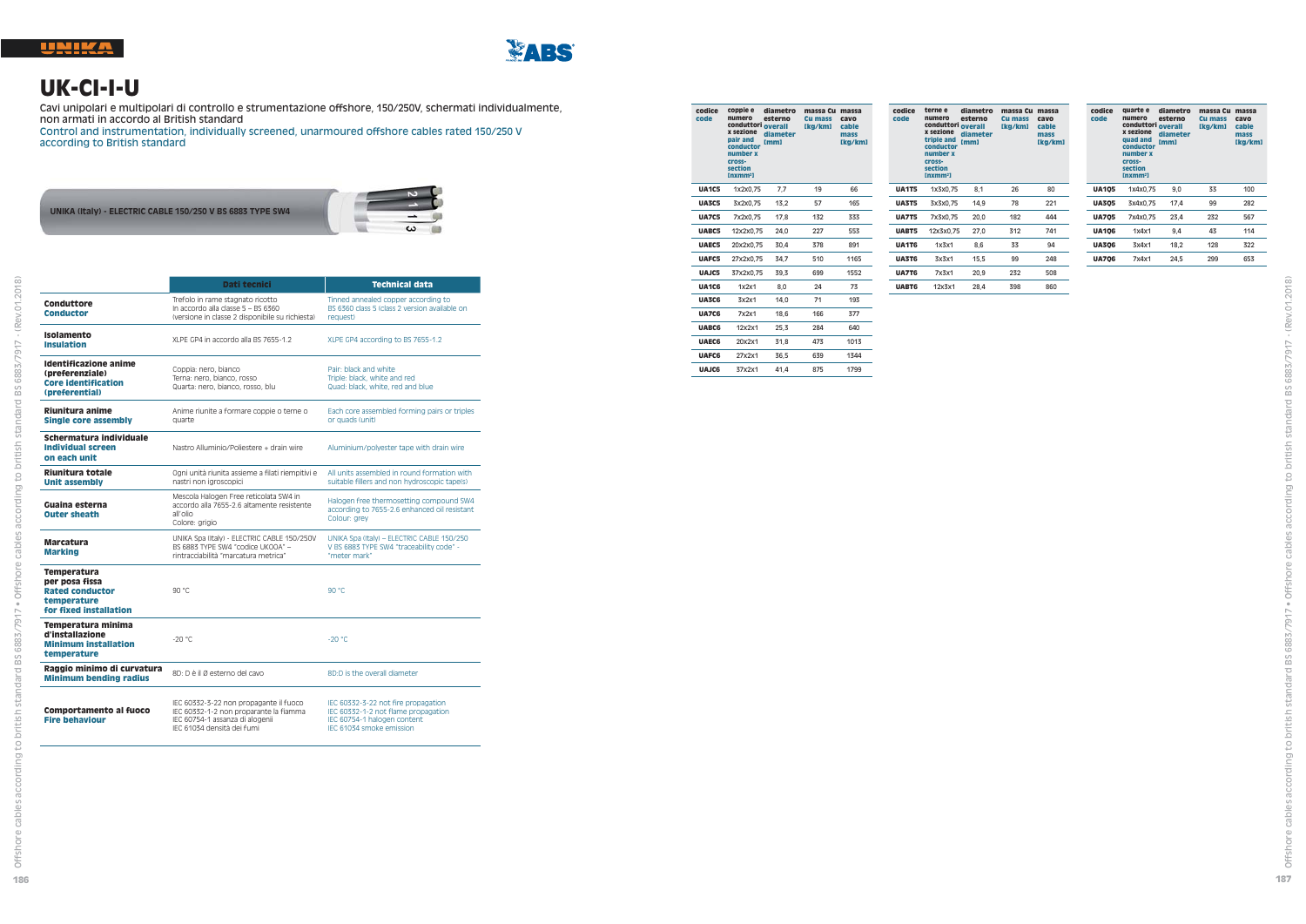

**186**

Offshore cables according to british standard BS 6883/7917 • Offshore cables according to british standard BS 6883/7917 - (Rev.01.2018)

dard BS 6883/7917 . Offshore cables

sta  $\frac{1}{5}$ 

 $\Xi$ ding

 $\frac{6}{10}$ cabl pre offsh

ă

ng to british standard BS 6883/7917 - (Rev.01.2018)



#### **UK-CI-I-U**

Cavi unipolari e multipolari di controllo e strumentazione offshore, 150/250V, schermati individualmente, non armati in accordo al British standard

Control and instrumentation, individually screened, unarmoured offshore cables rated 150/250 V according to British standard



|                                                                                                  | Dati tecnici                                                                                                              | <b>Technical data</b>                                                                                     |
|--------------------------------------------------------------------------------------------------|---------------------------------------------------------------------------------------------------------------------------|-----------------------------------------------------------------------------------------------------------|
| Conduttore<br><b>Conductor</b>                                                                   | Trefolo in rame stagnato ricotto<br>In accordo alla classe 5 - BS 6360<br>(versione in classe 2 disponibile su richiesta) | Tinned annealed copper according to<br>BS 6360 class 5 (class 2 version available on<br>request)          |
| Isolamento<br><b>Insulation</b>                                                                  | XLPE GP4 in accordo alla BS 7655-1.2                                                                                      | XLPE GP4 according to BS 7655-1.2                                                                         |
| Identificazione anime<br>(preferenziale)<br><b>Core identification</b><br>(preferential)         | Coppia: nero, bianco<br>Terna: nero, bianco, rosso<br>Quarta: nero, bianco, rosso, blu                                    | Pair: black and white<br>Triple: black, white and red<br>Quad: black, white, red and blue                 |
| Riunitura anime<br>Single core assembly                                                          | Anime riunite a formare coppie o terne o<br>quarte                                                                        | Each core assembled forming pairs or triples<br>or quads (unit)                                           |
| Schermatura individuale<br><b>Individual screen</b><br>on each unit                              | Nastro Alluminio/Poliestere + drain wire                                                                                  | Aluminium/polyester tape with drain wire                                                                  |
| Riunitura totale<br><b>Unit assembly</b>                                                         | Ogni unità riunita assieme a filati riempitivi e<br>nastri non jgroscopici                                                | All units assembled in round formation with<br>suitable fillers and non hydroscopic tape(s)               |
| Guaina esterna<br><b>Outer sheath</b>                                                            | Mescola Halogen Free reticolata SW4 in<br>accordo alla 7655-2.6 altamente resistente<br>all'olio<br>Colore: grigio        | Halogen free thermosetting compound SW4<br>according to 7655-2.6 enhanced oil resistant<br>Colour: arev   |
| <b>Marcatura</b><br><b>Marking</b>                                                               | UNIKA Spa (Italy) - ELECTRIC CABLE 150/250V<br>BS 6883 TYPE SW4 "codice UKOOA" -<br>rintracciabilità "marcatura metrica"  | UNIKA Spa (Italy) - ELECTRIC CABLE 150/250<br>V BS 6883 TYPE SW4 "traceability code" -<br>"meter mark"    |
| Temperatura<br>per posa fissa<br><b>Rated conductor</b><br>temperature<br>for fixed installation | 90 °C                                                                                                                     | 90 °C                                                                                                     |
| Temperatura minima<br>d'installazione<br><b>Minimum installation</b><br>temperature              | $-20^{\circ}$ C                                                                                                           | $-20 °C$                                                                                                  |
| Raggio minimo di curvatura<br><b>Minimum bending radius</b>                                      | 8D: D è il Ø esterno del cavo                                                                                             | 8D:D is the overall diameter                                                                              |
| Comportamento al fuoco<br><b>Fire behaviour</b>                                                  | IEC 60332-3-22 non propagante il fuoco<br>IEC 60332-1-2 non proparante la fiamma<br>IEC 60754-1 assanza di alogenii       | IEC 60332-3-22 not fire propagation<br>IEC 60332-1-2 not flame propagation<br>IEC 60754-1 halogen content |

IEC 61034 densità dei fumi

IEC 61034 smoke emission

| codice<br>code | coppie e<br>numero<br>conduttori overall<br>x sezione<br>pair and<br>conductor<br>number x<br>cross-<br>section<br>Inxmm <sup>2</sup> | diametro<br>esterno<br>diameter<br>mml | massa Cu<br>Cu mass<br>[kg/km] | massa<br>cavo<br>cable<br>mass<br>[kg/km] |
|----------------|---------------------------------------------------------------------------------------------------------------------------------------|----------------------------------------|--------------------------------|-------------------------------------------|
| <b>UA1C5</b>   | 1x2x0.75                                                                                                                              | 7.7                                    | 19                             | 66                                        |
| <b>UA3C5</b>   | 3x2x0,75                                                                                                                              | 13,2                                   | 57                             | 165                                       |
| <b>UA7C5</b>   | 7x2x0.75                                                                                                                              | 17.8                                   | 132                            | 333                                       |
| UABC5          | 12x2x0.75                                                                                                                             | 24.0                                   | 227                            | 553                                       |
| UAEC5          | 20x2x0.75                                                                                                                             | 30.4                                   | 378                            | 891                                       |
| UAFC5          | 27x2x0.75                                                                                                                             | 34.7                                   | 510                            | 1165                                      |
| UAJC5          | 37x2x0.75                                                                                                                             | 39,3                                   | 699                            | 1552                                      |
| <b>UA1C6</b>   | 1x2x1                                                                                                                                 | 8.0                                    | 24                             | 73                                        |
| <b>UA3C6</b>   | 3x2x1                                                                                                                                 | 14.0                                   | 71                             | 193                                       |
| <b>UA7C6</b>   | 7x2x1                                                                                                                                 | 18.6                                   | 166                            | 377                                       |
| <b>UABC6</b>   | 12x2x1                                                                                                                                | 25.3                                   | 284                            | 640                                       |
| <b>UAEC6</b>   | 20x2x1                                                                                                                                | 31.8                                   | 473                            | 1013                                      |
| <b>UAFC6</b>   | 27x2x1                                                                                                                                | 36.5                                   | 639                            | 1344                                      |
| <b>UAJC6</b>   | 37x2x1                                                                                                                                | 41.4                                   | 875                            | 1799                                      |
|                |                                                                                                                                       |                                        |                                |                                           |

| codice<br>code | terne e<br>numero<br>conduttori<br>x sezione<br>triple and<br>conductor<br>number x<br>cross-<br>section<br>[nxmm <sup>2</sup> ] | diametro<br>esterno<br>overall<br>diameter<br>[mm] | massa Cu<br>Cu mass<br>[kg/km] | massa<br>cavo<br>cable<br>mass<br>[kg/km] |
|----------------|----------------------------------------------------------------------------------------------------------------------------------|----------------------------------------------------|--------------------------------|-------------------------------------------|
| <b>UA1T5</b>   | 1x3x0.75                                                                                                                         | 8,1                                                | 26                             | 80                                        |
| <b>UA3T5</b>   | 3x3x0.75                                                                                                                         | 14.9                                               | 78                             | 221                                       |
| <b>UA7T5</b>   | 7x3x0.75                                                                                                                         | 20.0                                               | 182                            | 444                                       |
| UABT5          | 12x3x0.75                                                                                                                        | 27.0                                               | 312                            | 741                                       |
| <b>UA1T6</b>   | 1x3x1                                                                                                                            | 8.6                                                | 33                             | 94                                        |
| <b>UA3T6</b>   | 3x3x1                                                                                                                            | 15.5                                               | 99                             | 248                                       |
| <b>UA7T6</b>   | 7x3x1                                                                                                                            | 20.9                                               | 232                            | 508                                       |
| <b>UABT6</b>   | 12x3x1                                                                                                                           | 28.4                                               | 398                            | 860                                       |

| codice<br>code | quarte e<br>numero<br>conduttori overall<br>x sezione<br>quad and<br>conductor<br>number x<br>cross-<br>section<br>[nxmm <sup>2</sup> ] | diametro<br>esterno<br>diameter<br>[mm] | massa Cu<br>Cu mass<br>[kg/km] | massa<br>cavo<br>cable<br>mass<br>[kg/km] |
|----------------|-----------------------------------------------------------------------------------------------------------------------------------------|-----------------------------------------|--------------------------------|-------------------------------------------|
| <b>UA105</b>   | 1x4x0,75                                                                                                                                | 9.0                                     | 33                             | 100                                       |
| <b>UA305</b>   | 3x4x0.75                                                                                                                                | 17.4                                    | 99                             | 282                                       |
| <b>UA705</b>   | 7x4x0.75                                                                                                                                | 23.4                                    | 232                            | 567                                       |
| <b>UA106</b>   | 1x4x1                                                                                                                                   | 9.4                                     | 43                             | 114                                       |
| <b>UA306</b>   | 3x4x1                                                                                                                                   | 18.2                                    | 128                            | 322                                       |
| <b>UA706</b>   | 7x4x1                                                                                                                                   | 24.5                                    | 299                            | 653                                       |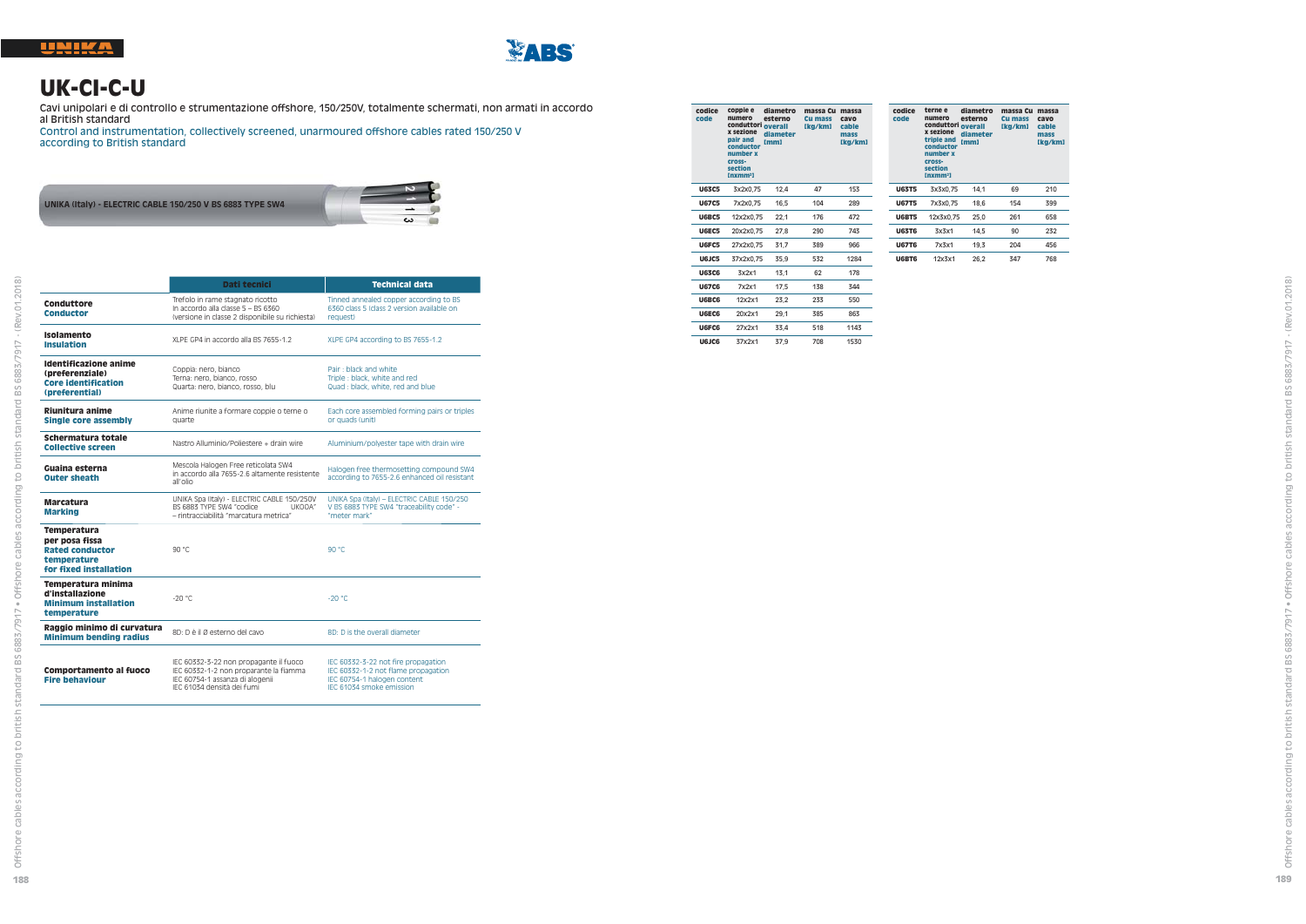



#### **UK-CI-C-U**

Cavi unipolari e di controllo e strumentazione offshore, 150/250V, totalmente schermati, non armati in accordo al British standard

 Control and instrumentation, collectively screened, unarmoured offshore cables rated 150/250 V according to British standard



|                                                                                                  | Dati tecnici                                                                                                                                      | <b>Technical data</b>                                                                                                                 |
|--------------------------------------------------------------------------------------------------|---------------------------------------------------------------------------------------------------------------------------------------------------|---------------------------------------------------------------------------------------------------------------------------------------|
| Conduttore<br><b>Conductor</b>                                                                   | Trefolo in rame stagnato ricotto<br>In accordo alla classe 5 - BS 6360<br>(versione in classe 2 disponibile su richiesta)                         | Tinned annealed copper according to BS<br>6360 class 5 (class 2 version available on<br>request)                                      |
| Isolamento<br><b>Insulation</b>                                                                  | XLPE GP4 in accordo alla BS 7655-1.2                                                                                                              | XLPE GP4 according to BS 7655-1.2                                                                                                     |
| <b>Identificazione anime</b><br>(preferenziale)<br><b>Core identification</b><br>(preferential)  | Coppia: nero, bianco<br>Terna: nero, bianco, rosso<br>Quarta: nero, bianco, rosso, blu                                                            | Pair: black and white<br>Triple : black, white and red<br>Quad: black, white, red and blue                                            |
| Riunitura anime<br>Single core assembly                                                          | Anime riunite a formare coppie o terne o<br>quarte                                                                                                | Each core assembled forming pairs or triples<br>or quads (unit)                                                                       |
| Schermatura totale<br><b>Collective screen</b>                                                   | Nastro Alluminio/Poliestere + drain wire                                                                                                          | Aluminium/polvester tape with drain wire                                                                                              |
| Guaina esterna<br><b>Outer sheath</b>                                                            | Mescola Halogen Free reticolata SW4<br>in accordo alla 7655-2.6 altamente resistente<br>all'olio                                                  | Halogen free thermosetting compound SW4<br>according to 7655-2.6 enhanced oil resistant                                               |
| <b>Marcatura</b><br><b>Marking</b>                                                               | UNIKA Spa (Italy) - ELECTRIC CABLE 150/250V<br>BS 6883 TYPE SW4 "codice<br>UKOOA"<br>- rintracciabilità "marcatura metrica"                       | UNIKA Spa (Italy) - ELECTRIC CABLE 150/250<br>V BS 6883 TYPE SW4 "traceability code" -<br>"meter mark"                                |
| Temperatura<br>per posa fissa<br><b>Rated conductor</b><br>temperature<br>for fixed installation | 90 °C                                                                                                                                             | n° ne                                                                                                                                 |
| Temperatura minima<br>d'installazione<br><b>Minimum installation</b><br>temperature              | $-20^{\circ}$ C                                                                                                                                   | $-20 °C$                                                                                                                              |
| Raggio minimo di curvatura<br><b>Minimum bending radius</b>                                      | 8D: D è il Ø esterno del cavo                                                                                                                     | 8D: D is the overall diameter                                                                                                         |
| <b>Comportamento al fuoco</b><br><b>Fire behaviour</b>                                           | IEC 60332-3-22 non propagante il fuoco<br>IEC 60332-1-2 non proparante la fiamma<br>IEC 60754-1 assanza di alogenii<br>IEC 61034 densità dei fumi | IEC 60332-3-22 not fire propagation<br>IEC 60332-1-2 not flame propagation<br>IEC 60754-1 halogen content<br>IFC 61034 smoke emission |

| codice<br>code | coppie e<br>numero<br>conduttori<br>x sezione<br>pair and<br>conductor<br>number x<br>cross-<br>section<br>Inxmm <sup>2</sup> | diametro<br>esterno<br>overall<br>diameter<br>[mm] | massa Cu<br>Cu mass<br>[kg/km] | massa<br>cavo<br>cable<br>mass<br>[kg/km] | <b>CO</b><br><b>CO</b> |
|----------------|-------------------------------------------------------------------------------------------------------------------------------|----------------------------------------------------|--------------------------------|-------------------------------------------|------------------------|
| <b>U63C5</b>   | 3x2x0.75                                                                                                                      | 12,4                                               | 47                             | 153                                       | U6                     |
| <b>U67C5</b>   | 7x2x0.75                                                                                                                      | 16.5                                               | 104                            | 289                                       | U6                     |
| U6BC5          | 12x2x0.75                                                                                                                     | 22,1                                               | 176                            | 472                                       | U                      |
| U6EC5          | 20x2x0.75                                                                                                                     | 27,8                                               | 290                            | 743                                       | U                      |
| U6FC5          | 27x2x0.75                                                                                                                     | 31,7                                               | 389                            | 966                                       | U6                     |
| U6JC5          | 37x2x0.75                                                                                                                     | 35.9                                               | 532                            | 1284                                      | U                      |
| <b>U63C6</b>   | 3x2x1                                                                                                                         | 13,1                                               | 62                             | 178                                       |                        |
| <b>U67C6</b>   | 7x2x1                                                                                                                         | 17.5                                               | 138                            | 344                                       |                        |
| U6BC6          | 12x2x1                                                                                                                        | 23,2                                               | 233                            | 550                                       |                        |
| <b>UGEC6</b>   | 20x2x1                                                                                                                        | 29,1                                               | 385                            | 863                                       |                        |
| U6FC6          | 27x2x1                                                                                                                        | 33,4                                               | 518                            | 1143                                      |                        |

**U6JC6** 37x2x1 37,9 708 1530

| codice<br>code | terne e<br>numero<br>conduttori<br>x sezione<br>triple and<br>conductor<br>number x<br>cross-<br>section<br>[nxmm <sup>2</sup> ] | diametro<br>esterno<br>overall<br>diameter<br>[mm] | massa Cu<br>Cu mass<br>[kg/km] | massa<br>cavo<br>cable<br>mass<br>[kg/km] |
|----------------|----------------------------------------------------------------------------------------------------------------------------------|----------------------------------------------------|--------------------------------|-------------------------------------------|
| <b>U63T5</b>   | 3x3x0.75                                                                                                                         | 14.1                                               | 69                             | 210                                       |
| <b>U67T5</b>   | 7x3x0.75                                                                                                                         | 18.6                                               | 154                            | 399                                       |
| <b>U6BT5</b>   | 12x3x0.75                                                                                                                        | 25.0                                               | 261                            | 658                                       |
| <b>U63T6</b>   | 3x3x1                                                                                                                            | 14.5                                               | 90                             | 232                                       |
| <b>U67T6</b>   | 7x3x1                                                                                                                            | 19.3                                               | 204                            | 456                                       |
| U6BT6          | 12x3x1                                                                                                                           | 26.2                                               | 347                            | 768                                       |

ding to british standard BS 6883/7917 - (Rev.01.2018)

acc

dard BS 6883/7917 . Offshore cables

ording to british stal

acco

**188**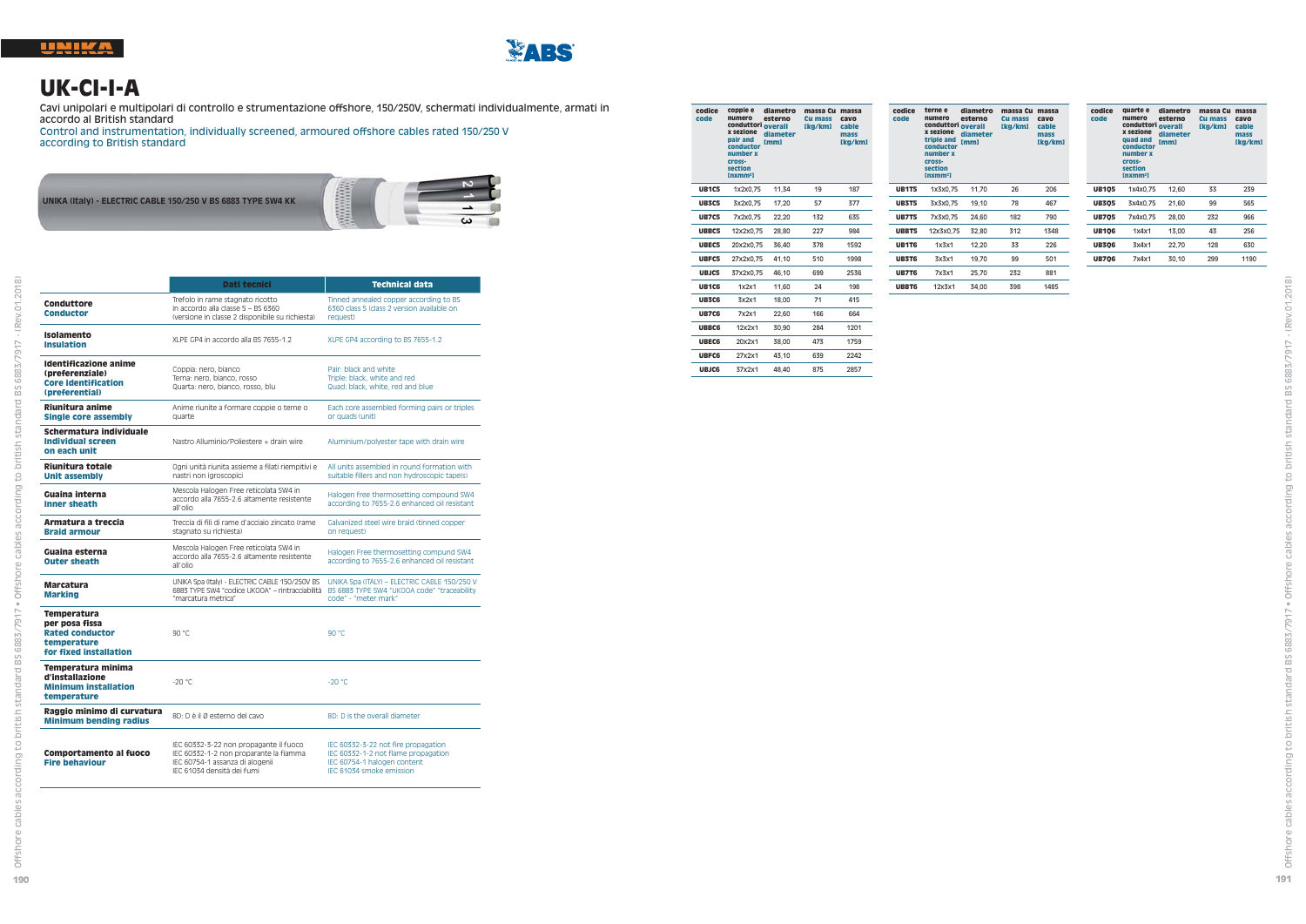

## **UK-CI-I-A**

Cavi unipolari e multipolari di controllo e strumentazione offshore, 150/250V, schermati individualmente, armati in accordo al British standard

 Control and instrumentation, individually screened, armoured offshore cables rated 150/250 V according to British standard



|                                                                                                         | Dati tecnici                                                                                                                                      | <b>Technical data</b>                                                                                                                 |
|---------------------------------------------------------------------------------------------------------|---------------------------------------------------------------------------------------------------------------------------------------------------|---------------------------------------------------------------------------------------------------------------------------------------|
| Conduttore<br>Conductor                                                                                 | Trefolo in rame stagnato ricotto<br>In accordo alla classe 5 - BS 6360<br>(versione in classe 2 disponibile su richiesta)                         | Tinned annealed copper according to BS<br>6360 class 5 (class 2 version available on<br>request)                                      |
| Isolamento<br><b>Insulation</b>                                                                         | XLPE GP4 in accordo alla BS 7655-1.2                                                                                                              | XLPE GP4 according to BS 7655-1.2                                                                                                     |
| Identificazione anime<br>(preferenziale)<br><b>Core identification</b><br>(preferential)                | Coppia: nero, bianco<br>Terna: nero, bianco, rosso<br>Quarta: nero, bianco, rosso, blu                                                            | Pair: black and white<br>Triple: black, white and red<br>Quad: black, white, red and blue                                             |
| Riunitura anime<br><b>Single core assembly</b>                                                          | Anime riunite a formare coppie o terne o<br>quarte                                                                                                | Each core assembled forming pairs or triples<br>or quads (unit)                                                                       |
| Schermatura individuale<br><b>Individual screen</b><br>on each unit                                     | Nastro Alluminio/Poliestere + drain wire                                                                                                          | Aluminium/polvester tape with drain wire                                                                                              |
| Riunitura totale<br><b>Unit assembly</b>                                                                | Ogni unità riunita assieme a filati riempitivi e<br>nastri non igroscopici                                                                        | All units assembled in round formation with<br>suitable fillers and non hydroscopic tape(s)                                           |
| Guaina interna<br><b>Inner sheath</b>                                                                   | Mescola Halogen Free reticolata SW4 in<br>accordo alla 7655-2.6 altamente resistente<br>all'olio                                                  | Halogen free thermosetting compound SW4<br>according to 7655-2.6 enhanced oil resistant                                               |
| Armatura a treccia<br><b>Braid armour</b>                                                               | Treccia di fili di rame d'acciaio zincato (rame<br>stagnato su richiesta)                                                                         | Galvanized steel wire braid (tinned copper<br>on request)                                                                             |
| Guaina esterna<br><b>Outer sheath</b>                                                                   | Mescola Halogen Free reticolata SW4 in<br>accordo alla 7655-2.6 altamente resistente<br>all'olio                                                  | Halogen Free thermosetting compund SW4<br>according to 7655-2.6 enhanced oil resistant                                                |
| <b>Marcatura</b><br><b>Marking</b>                                                                      | UNIKA Spa (Italy) - ELECTRIC CABLE 150/250V BS<br>6883 TYPE SW4 "codice UKOOA" - rintracciabilità<br>"marcatura metrica"                          | UNIKA Spa (ITALY) - ELECTRIC CABLE 150/250 V<br>BS 6883 TYPE SW4 "UKOOA code" "traceability<br>code" - "meter mark"                   |
| <b>Temperatura</b><br>per posa fissa<br><b>Rated conductor</b><br>temperature<br>for fixed installation | 90 °C                                                                                                                                             | 90 °C                                                                                                                                 |
| Temperatura minima<br>d'installazione<br><b>Minimum installation</b><br>temperature                     | $-20^{\circ}$ C                                                                                                                                   | $-20 °C$                                                                                                                              |
| Raggio minimo di curvatura<br><b>Minimum bending radius</b>                                             | 8D: D è il Ø esterno del cavo                                                                                                                     | 8D: D is the overall diameter                                                                                                         |
| <b>Comportamento al fuoco</b><br><b>Fire behaviour</b>                                                  | IEC 60332-3-22 non propagante il fuoco<br>IEC 60332-1-2 non proparante la fiamma<br>IEC 60754-1 assanza di alogenii<br>IEC 61034 densità dei fumi | IEC 60332-3-22 not fire propagation<br>IEC 60332-1-2 not flame propagation<br>IEC 60754-1 halogen content<br>IEC 61034 smoke emission |

| codice<br>code | coppie e<br>numero<br>conduttori overall<br>x sezione<br>pair and<br>conductor<br>number x<br>cross-<br>section<br>Inxmm <sup>2</sup> | diametro<br>esterno<br>diameter<br>mml | massa Cu<br>Cu mass<br>[kg/km] | massa<br>cavo<br>cable<br>mass<br>[kg/km] |
|----------------|---------------------------------------------------------------------------------------------------------------------------------------|----------------------------------------|--------------------------------|-------------------------------------------|
| <b>UB1C5</b>   | 1x2x0.75                                                                                                                              | 11.34                                  | 19                             | 187                                       |
| <b>UB3C5</b>   | 3x2x0.75                                                                                                                              | 17.20                                  | 57                             | 377                                       |
| <b>UB7C5</b>   | 7x2x0.75                                                                                                                              | 22.20                                  | 132                            | 635                                       |
| UBBC5          | 12x2x0.75                                                                                                                             | 28.80                                  | 227                            | 984                                       |
| UBEC5          | 20x2x0.75                                                                                                                             | 36.40                                  | 378                            | 1592                                      |
| UBFC5          | 27x2x0.75                                                                                                                             | 41.10                                  | 510                            | 1998                                      |
| UBJC5          | 37x2x0.75                                                                                                                             | 46.10                                  | 699                            | 2536                                      |
| <b>UB1C6</b>   | 1x2x1                                                                                                                                 | 11,60                                  | 24                             | 198                                       |
| <b>UB3C6</b>   | 3x2x1                                                                                                                                 | 18.00                                  | 71                             | 415                                       |
| <b>UB7C6</b>   | 7x2x1                                                                                                                                 | 22.60                                  | 166                            | 664                                       |
| <b>UBBC6</b>   | 12x2x1                                                                                                                                | 30.90                                  | 284                            | 1201                                      |
| <b>UBEC6</b>   | 20x2x1                                                                                                                                | 38.00                                  | 473                            | 1759                                      |
| <b>UBFC6</b>   | 27x2x1                                                                                                                                | 43,10                                  | 639                            | 2242                                      |
| <b>UBJC6</b>   | 37x2x1                                                                                                                                | 48.40                                  | 875                            | 2857                                      |
|                |                                                                                                                                       |                                        |                                |                                           |

| codice<br>code | terne e<br>numero<br>conduttori<br>x sezione<br>triple and<br>conductor<br>number x<br>cross-<br>section<br>[nxmm <sup>2</sup> ] | diametro<br>esterno<br>overall<br>diameter<br>[mm] | massa Cu<br>Cu mass<br>[kg/km] | massa<br>cavo<br>cable<br>mass<br>[kg/km] |
|----------------|----------------------------------------------------------------------------------------------------------------------------------|----------------------------------------------------|--------------------------------|-------------------------------------------|
| <b>UB1T5</b>   | 1x3x0.75                                                                                                                         | 11.70                                              | 26                             | 206                                       |
| <b>UB3T5</b>   | 3x3x0.75                                                                                                                         | 19.10                                              | 78                             | 467                                       |
| <b>UB7T5</b>   | 7x3x0.75                                                                                                                         | 24.60                                              | 182                            | 790                                       |
| UBBT5          | 12x3x0.75                                                                                                                        | 32.80                                              | 312                            | 1348                                      |
| <b>UB1T6</b>   | 1x3x1                                                                                                                            | 12.20                                              | 33                             | 226                                       |
| <b>UB3T6</b>   | 3x3x1                                                                                                                            | 19.70                                              | 99                             | 501                                       |
| <b>UB7T6</b>   | 7x3x1                                                                                                                            | 25.70                                              | 232                            | 881                                       |
| <b>UBBT6</b>   | 12x3x1                                                                                                                           | 34.00                                              | 398                            | 1485                                      |

| codice<br>code | quarte e<br>numero<br>conduttori overall<br>x sezione<br>quad and<br>conductor<br>number x<br>cross-<br>section | diametro<br>esterno<br>diameter<br>[mm] | massa Cu<br>Cu mass<br>[kg/km] | massa<br>cavo<br>cable<br>mass<br>[kg/km] |
|----------------|-----------------------------------------------------------------------------------------------------------------|-----------------------------------------|--------------------------------|-------------------------------------------|
| <b>UB105</b>   | [nxmm <sup>2</sup> ]<br>1x4x0.75                                                                                | 12.60                                   | 33                             | 239                                       |
| <b>UB305</b>   | 3x4x0.75                                                                                                        | 21.60                                   | 99                             | 565                                       |
| <b>UB705</b>   | 7x4x0.75                                                                                                        | 28.00                                   | 232                            | 966                                       |
| <b>UB106</b>   | 1x4x1                                                                                                           | 13.00                                   | 43                             | 256                                       |
| <b>UB306</b>   | 3x4x1                                                                                                           | 22.70                                   | 128                            | 630                                       |
| <b>UB706</b>   | 7x4x1                                                                                                           | 30.10                                   | 299                            | 1190                                      |
|                |                                                                                                                 |                                         |                                |                                           |

69 cabi

rd BS 6883/7917 - (Rev.01.2018)

ig to british star

 $calo$ 

. Offsh

6883/7917 •

 $_{\rm E}^{\rm O}$  $\overline{\phantom{a}}$ 

sta to british  $\overline{9}$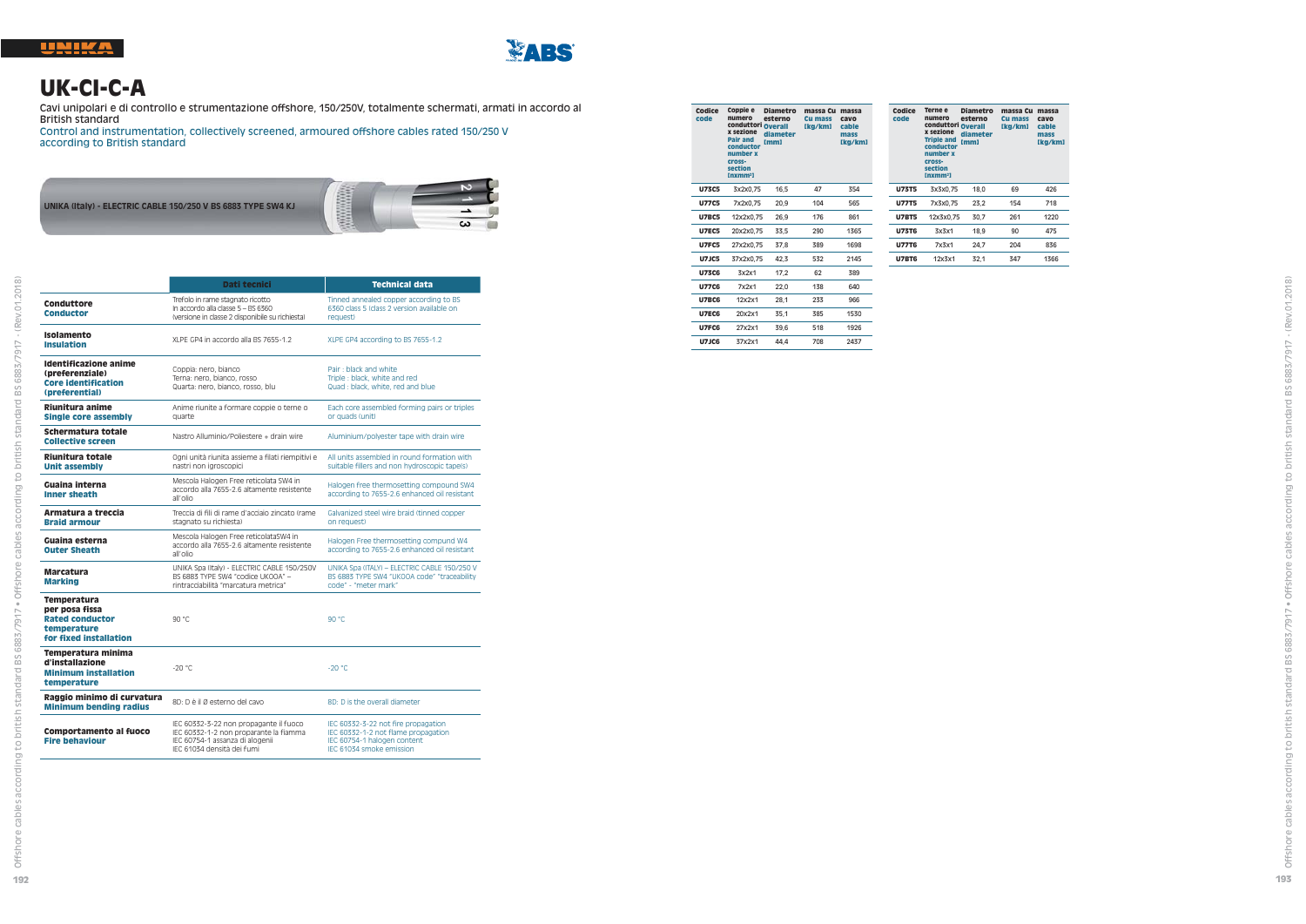

### **UK-CI-C-A**

Cavi unipolari e di controllo e strumentazione offshore, 150/250V, totalmente schermati, armati in accordo al British standard

 Control and instrumentation, collectively screened, armoured offshore cables rated 150/250 V according to British standard



|                                                                                                  | Dati tecnici                                                                                                                                      | <b>Technical data</b>                                                                                                                 |
|--------------------------------------------------------------------------------------------------|---------------------------------------------------------------------------------------------------------------------------------------------------|---------------------------------------------------------------------------------------------------------------------------------------|
| Conduttore<br><b>Conductor</b>                                                                   | Trefolo in rame stagnato ricotto<br>In accordo alla classe 5 - BS 6360<br>(versione in classe 2 disponibile su richiesta)                         | Tinned annealed copper according to BS<br>6360 class 5 (class 2 version available on<br>request)                                      |
| Isolamento<br><b>Insulation</b>                                                                  | XLPE GP4 in accordo alla BS 7655-1.2                                                                                                              | XLPE GP4 according to BS 7655-1.2                                                                                                     |
| Identificazione anime<br>(preferenziale)<br><b>Core identification</b><br>(preferential)         | Coppia: nero, bianco<br>Terna: nero, bianco, rosso<br>Quarta: nero, bianco, rosso, blu                                                            | Pair: black and white<br>Triple: black, white and red<br>Quad : black, white, red and blue                                            |
| Riunitura anime<br><b>Single core assembly</b>                                                   | Anime riunite a formare coppie o terne o<br>quarte                                                                                                | Each core assembled forming pairs or triples<br>or quads (unit)                                                                       |
| Schermatura totale<br><b>Collective screen</b>                                                   | Nastro Alluminio/Poliestere + drain wire                                                                                                          | Aluminium/polyester tape with drain wire                                                                                              |
| Riunitura totale<br><b>Unit assembly</b>                                                         | Ogni unità riunita assieme a filati riempitivi e<br>nastri non jgroscopici                                                                        | All units assembled in round formation with<br>suitable fillers and non hydroscopic tape(s)                                           |
| Guaina interna<br><b>Inner sheath</b>                                                            | Mescola Halogen Free reticolata SW4 in<br>accordo alla 7655-2.6 altamente resistente<br>all'olio                                                  | Halogen free thermosetting compound SW4<br>according to 7655-2.6 enhanced oil resistant                                               |
| Armatura a treccia<br><b>Braid armour</b>                                                        | Treccia di fili di rame d'acciaio zincato (rame<br>stagnato su richiesta)                                                                         | Galvanized steel wire braid (tinned copper<br>on request)                                                                             |
| Guaina esterna<br><b>Outer Sheath</b>                                                            | Mescola Halogen Free reticolataSW4 in<br>accordo alla 7655-2.6 altamente resistente<br>all'olio                                                   | Halogen Free thermosetting compund W4<br>according to 7655-2.6 enhanced oil resistant                                                 |
| <b>Marcatura</b><br><b>Marking</b>                                                               | UNIKA Spa (Italy) - ELECTRIC CABLE 150/250V<br>BS 6883 TYPE SW4 "codice UKOOA" -<br>rintracciabilità "marcatura metrica"                          | UNIKA Spa (ITALY) - ELECTRIC CABLE 150/250 V<br>BS 6883 TYPE SW4 "UKOOA code" "traceability<br>code" - "meter mark"                   |
| Temperatura<br>per posa fissa<br><b>Rated conductor</b><br>temperature<br>for fixed installation | 90 °C                                                                                                                                             | 90 °C                                                                                                                                 |
| Temperatura minima<br>d'installazione<br><b>Minimum installation</b><br>temperature              | $-20 °C$                                                                                                                                          | $-20 °C$                                                                                                                              |
| Raggio minimo di curvatura<br><b>Minimum bending radius</b>                                      | 8D: D è il Ø esterno del cavo                                                                                                                     | 8D: D is the overall diameter                                                                                                         |
| <b>Comportamento al fuoco</b><br><b>Fire behaviour</b>                                           | IEC 60332-3-22 non propagante il fuoco<br>IEC 60332-1-2 non proparante la fiamma<br>IEC 60754-1 assanza di alogenii<br>IEC 61034 densità dei fumi | IEC 60332-3-22 not fire propagation<br>IEC 60332-1-2 not flame propagation<br>IEC 60754-1 halogen content<br>IEC 61034 smoke emission |

| Codice<br>code | Coppie e<br>numero<br>conduttori<br>x sezione<br>Pair and<br>conductor<br>number x<br>cross-<br>section<br>Inxmm <sup>2</sup> | Diametro<br>esterno<br><b>Overall</b><br>diameter<br>[mm] | massa Cu<br>Cu mass<br>[kg/km] | massa<br>cavo<br>cable<br>mass<br>[kg/km] | c<br>ċ |
|----------------|-------------------------------------------------------------------------------------------------------------------------------|-----------------------------------------------------------|--------------------------------|-------------------------------------------|--------|
| <b>U73C5</b>   | 3x2x0.75                                                                                                                      | 16,5                                                      | 47                             | 354                                       |        |
| <b>U77C5</b>   | 7x2x0.75                                                                                                                      | 20,9                                                      | 104                            | 565                                       |        |
| <b>U7BC5</b>   | 12x2x0,75                                                                                                                     | 26.9                                                      | 176                            | 861                                       |        |
| <b>U7EC5</b>   | 20x2x0.75                                                                                                                     | 33.5                                                      | 290                            | 1365                                      |        |
| <b>U7FC5</b>   | 27x2x0.75                                                                                                                     | 37.8                                                      | 389                            | 1698                                      |        |
| <b>U7JC5</b>   | 37x2x0.75                                                                                                                     | 42,3                                                      | 532                            | 2145                                      |        |
| <b>U73C6</b>   | 3x2x1                                                                                                                         | 17,2                                                      | 62                             | 389                                       |        |
| <b>U77C6</b>   | 7x2x1                                                                                                                         | 22,0                                                      | 138                            | 640                                       |        |
| <b>U7BC6</b>   | 12x2x1                                                                                                                        | 28.1                                                      | 233                            | 966                                       |        |
| <b>U7EC6</b>   | 20x2x1                                                                                                                        | 35.1                                                      | 385                            | 1530                                      |        |
| U7FC6          | 27x2x1                                                                                                                        | 39.6                                                      | 518                            | 1926                                      |        |
| <b>U7JC6</b>   | 37x2x1                                                                                                                        | 44.4                                                      | 708                            | 2437                                      |        |

| Codice<br>code | Terne e<br>numero<br>conduttori Overall<br>x sezione<br><b>Triple and</b><br>conductor<br>number x<br>cross-<br>section<br>[nxmm <sup>2</sup> ] | <b>Diametro</b><br>esterno<br>diameter<br>[mm] | massa Cu<br>Cu mass<br>[kg/km] | massa<br>cavo<br>cable<br>mass<br>[kg/km] |
|----------------|-------------------------------------------------------------------------------------------------------------------------------------------------|------------------------------------------------|--------------------------------|-------------------------------------------|
| <b>U73T5</b>   | 3x3x0.75                                                                                                                                        | 18.0                                           | 69                             | 426                                       |
| <b>U77T5</b>   | 7x3x0.75                                                                                                                                        | 23.2                                           | 154                            | 718                                       |
| <b>U7BT5</b>   | 12x3x0.75                                                                                                                                       | 30.7                                           | 261                            | 1220                                      |
| <b>U73T6</b>   | 3x3x1                                                                                                                                           | 18.9                                           | 90                             | 475                                       |
| <b>U77T6</b>   | 7x3x1                                                                                                                                           | 24.7                                           | 204                            | 836                                       |
| <b>U7BT6</b>   | 12x3x1                                                                                                                                          | 32.1                                           | 347                            | 1366                                      |
|                |                                                                                                                                                 |                                                |                                |                                           |

ding to british standard BS 6883/7917 - (Rev.01.2018)

accor

dard BS 6883/7917 · Offshore cables

british star

ore cables according to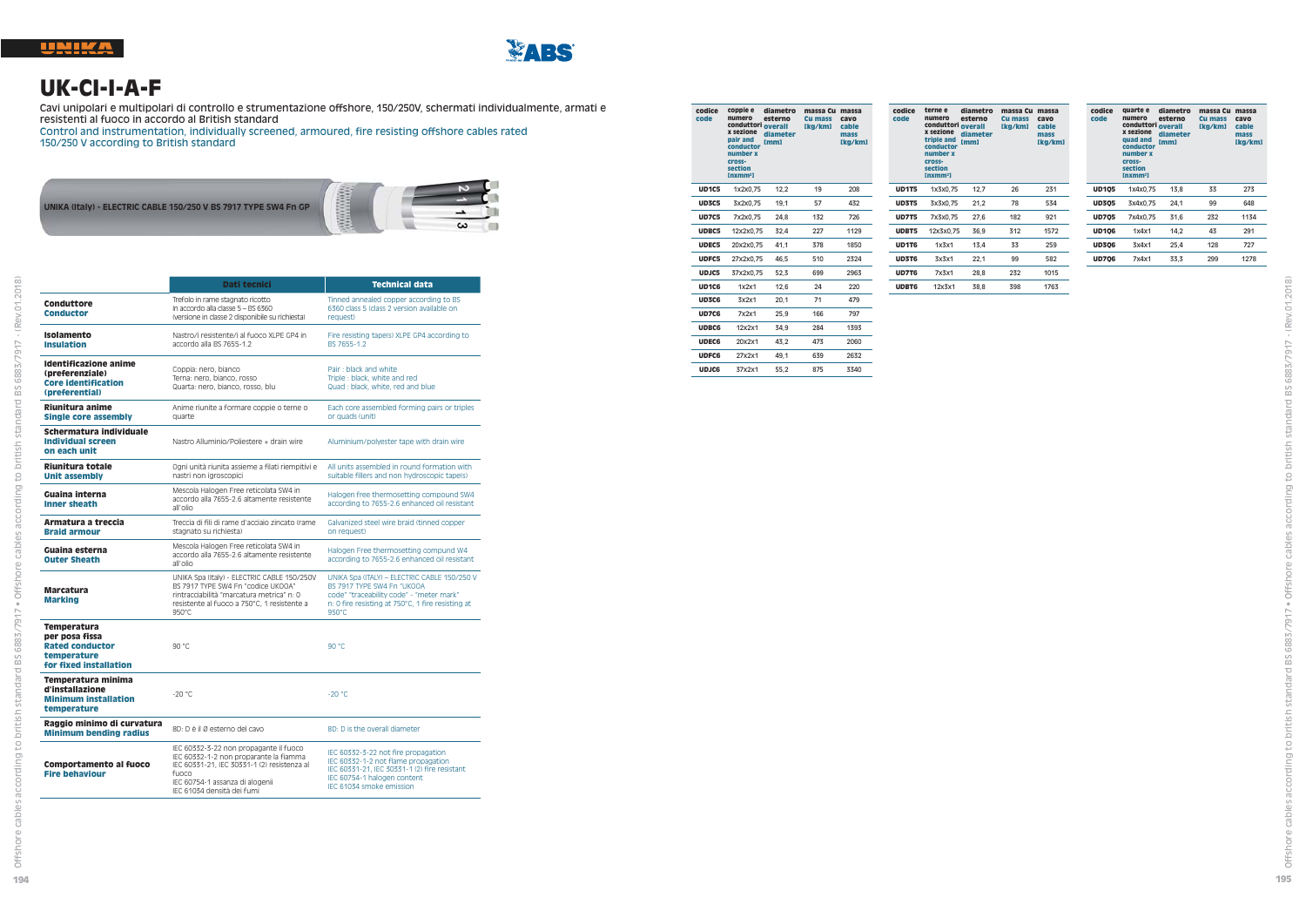

### **UK-CI-I-A-F**

Cavi unipolari e multipolari di controllo e strumentazione offshore, 150/250V, schermati individualmente, armati e resistenti al fuoco in accordo al British standard

Control and instrumentation, individually screened, armoured, fire resisting offshore cables rated 150/250 V according to British standard



|                                                                                                  | Dati tecnici                                                                                                                                                                                              | <b>Technical data</b>                                                                                                                                                                 |
|--------------------------------------------------------------------------------------------------|-----------------------------------------------------------------------------------------------------------------------------------------------------------------------------------------------------------|---------------------------------------------------------------------------------------------------------------------------------------------------------------------------------------|
| Conduttore<br><b>Conductor</b>                                                                   | Trefolo in rame stagnato ricotto<br>In accordo alla classe 5 - BS 6360<br>(versione in classe 2 disponibile su richiesta)                                                                                 | Tinned annealed copper according to BS<br>6360 class 5 (class 2 version available on<br>request)                                                                                      |
| <b>Isolamento</b><br><b>Insulation</b>                                                           | Nastro/i resistente/i al fuoco XLPE GP4 in<br>accordo alla BS 7655-1.2                                                                                                                                    | Fire resisting tape(s) XLPE GP4 according to<br>BS 7655-1.2                                                                                                                           |
| Identificazione anime<br>(preferenziale)<br><b>Core identification</b><br>(preferential)         | Coppia: nero, bianco<br>Terna: nero, bianco, rosso<br>Quarta: nero, bianco, rosso, blu                                                                                                                    | Pair: black and white<br>Triple: black, white and red<br>Quad : black, white, red and blue                                                                                            |
| Riunitura anime<br><b>Single core assembly</b>                                                   | Anime riunite a formare coppie o terne o<br>quarte                                                                                                                                                        | Each core assembled forming pairs or triples<br>or quads (unit)                                                                                                                       |
| Schermatura individuale<br><b>Individual screen</b><br>on each unit                              | Nastro Alluminio/Poliestere + drain wire                                                                                                                                                                  | Aluminium/polyester tape with drain wire                                                                                                                                              |
| Riunitura totale<br><b>Unit assembly</b>                                                         | Ogni unità riunita assieme a filati riempitivi e<br>nastri non igroscopici                                                                                                                                | All units assembled in round formation with<br>suitable fillers and non hydroscopic tape(s)                                                                                           |
| Guaina interna<br><b>Inner sheath</b>                                                            | Mescola Halogen Free reticolata SW4 in<br>accordo alla 7655-2.6 altamente resistente<br>all'olio                                                                                                          | Halogen free thermosetting compound SW4<br>according to 7655-2.6 enhanced oil resistant                                                                                               |
| Armatura a treccia<br><b>Braid armour</b>                                                        | Treccia di fili di rame d'acciaio zincato (rame<br>stagnato su richiesta)                                                                                                                                 | Galvanized steel wire braid (tinned copper<br>on request)                                                                                                                             |
| Guaina esterna<br><b>Outer Sheath</b>                                                            | Mescola Halogen Free reticolata SW4 in<br>accordo alla 7655-2.6 altamente resistente<br>all'olio                                                                                                          | Halogen Free thermosetting compund W4<br>according to 7655-2.6 enhanced oil resistant                                                                                                 |
| <b>Marcatura</b><br><b>Marking</b>                                                               | UNIKA Spa (Italy) - ELECTRIC CABLE 150/250V<br>BS 7917 TYPE SW4 En "codice UK00A"<br>rintracciabilità "marcatura metrica" n: 0<br>resistente al fuoco a 750°C, 1 resistente a<br>$950^{\circ}$ C          | UNIKA Spa (ITALY) - ELECTRIC CABLE 150/250 V<br>BS 7917 TYPE SW4 Fn "UKOOA<br>code" "traceability code" - "meter mark"<br>n: 0 fire resisting at 750°C, 1 fire resisting at<br>950°C  |
| Temperatura<br>per posa fissa<br><b>Rated conductor</b><br>temperature<br>for fixed installation | 90 °C                                                                                                                                                                                                     | 90 °C                                                                                                                                                                                 |
| Temperatura minima<br>d'installazione<br><b>Minimum installation</b><br>temperature              | $-20 °C$                                                                                                                                                                                                  | $-20 °C$                                                                                                                                                                              |
| Raggio minimo di curvatura<br><b>Minimum bending radius</b>                                      | 8D: D è il Ø esterno del cavo                                                                                                                                                                             | 8D: D is the overall diameter                                                                                                                                                         |
| Comportamento al fuoco<br><b>Fire behaviour</b>                                                  | IEC 60332-3-22 non propagante il fuoco<br>IEC 60332-1-2 non proparante la fiamma<br>IEC 60331-21, IEC 30331-1 (2) resistenza al<br>funco<br>IEC 60754-1 assanza di alogenii<br>IEC 61034 densità dei fumi | IEC 60332-3-22 not fire propagation<br>IEC 60332-1-2 not flame propagation<br>IEC 60331-21, IEC 30331-1 (2) fire resistant<br>IEC 60754-1 halogen content<br>IEC 61034 smoke emission |

| codice<br>code | coppie e<br>numero<br>conduttori overall<br>x sezione<br>pair and<br>conductor<br>number x<br>cross-<br>section<br>Inxmm <sup>2</sup> | diametro<br>esterno<br>diameter<br>mml | massa Cu<br>Cu mass<br>[kg/km] | massa<br>cavo<br>cable<br>mass<br>[kg/km] |
|----------------|---------------------------------------------------------------------------------------------------------------------------------------|----------------------------------------|--------------------------------|-------------------------------------------|
| UD1C5          | 1x2x0.75                                                                                                                              | 12,2                                   | 19                             | 208                                       |
| <b>UD3C5</b>   | 3x2x0.75                                                                                                                              | 19.1                                   | 57                             | 432                                       |
| <b>UD7C5</b>   | 7x2x0.75                                                                                                                              | 24,8                                   | 132                            | 726                                       |
| <b>UDBC5</b>   | 12x2x0.75                                                                                                                             | 32.4                                   | 227                            | 1129                                      |
| <b>UDEC5</b>   | 20x2x0.75                                                                                                                             | 41.1                                   | 378                            | 1850                                      |
| UDFC5          | 27x2x0.75                                                                                                                             | 46.5                                   | 510                            | 2324                                      |
| UDJC5          | 37x2x0.75                                                                                                                             | 52.3                                   | 699                            | 2963                                      |
| <b>UD1C6</b>   | 1x2x1                                                                                                                                 | 12.6                                   | 24                             | 220                                       |
| UD3C6          | 3x2x1                                                                                                                                 | 20.1                                   | 71                             | 479                                       |
| <b>UD7C6</b>   | 7x2x1                                                                                                                                 | 25.9                                   | 166                            | 797                                       |
| <b>UDBC6</b>   | 12x2x1                                                                                                                                | 34.9                                   | 284                            | 1393                                      |
| <b>UDEC6</b>   | 20x2x1                                                                                                                                | 43.2                                   | 473                            | 2060                                      |
| <b>UDFC6</b>   | 27x2x1                                                                                                                                | 49.1                                   | 639                            | 2632                                      |
| <b>UDJC6</b>   | 37x2x1                                                                                                                                | 55.2                                   | 875                            | 3340                                      |
|                |                                                                                                                                       |                                        |                                |                                           |

| codice<br>code | terne e<br>numero<br>conduttori overall<br>x sezione<br>triple and<br>conductor<br>number x<br>cross-<br>section<br>[nxmm <sup>2</sup> ] | diametro<br>esterno<br>diameter<br>[mm] | massa Cu<br><b>Cu mass</b><br>[kg/km] | massa<br>cavo<br>cable<br>mass<br>[kg/km] |
|----------------|------------------------------------------------------------------------------------------------------------------------------------------|-----------------------------------------|---------------------------------------|-------------------------------------------|
| <b>UD1T5</b>   | 1x3x0.75                                                                                                                                 | 12,7                                    | 26                                    | 231                                       |
| <b>UD3T5</b>   | 3x3x0.75                                                                                                                                 | 21.2                                    | 78                                    | 534                                       |
| <b>UD7T5</b>   | 7x3x0.75                                                                                                                                 | 27.6                                    | 182                                   | 921                                       |
| UDBT5          | 12x3x0.75                                                                                                                                | 36.9                                    | 312                                   | 1572                                      |
| UD1T6          | 1x3x1                                                                                                                                    | 13.4                                    | 33                                    | 259                                       |
| UD3T6          | 3x3x1                                                                                                                                    | 22.1                                    | 99                                    | 582                                       |
| UD7T6          | 7x3x1                                                                                                                                    | 28.8                                    | 232                                   | 1015                                      |
| <b>UDBT6</b>   | 12x3x1                                                                                                                                   | 38.8                                    | 398                                   | 1763                                      |

| codice<br>code | quarte e<br>numero<br>conduttori overall<br>x sezione<br>quad and<br>conductor<br>number x<br>cross-<br>section<br>Inxmm <sup>2</sup> | diametro<br>esterno<br>diameter<br>[mm] | massa Cu<br>Cu mass<br>[kg/km] | massa<br>cavo<br>cable<br>mass<br>[kg/km] |
|----------------|---------------------------------------------------------------------------------------------------------------------------------------|-----------------------------------------|--------------------------------|-------------------------------------------|
| <b>UD105</b>   | 1x4x0.75                                                                                                                              | 13.8                                    | 33                             | 273                                       |
| <b>UD305</b>   | 3x4x0.75                                                                                                                              | 24.1                                    | 99                             | 648                                       |
| <b>UD705</b>   | 7x4x0.75                                                                                                                              | 31.6                                    | 232                            | 1134                                      |
| <b>UD106</b>   | 1x4x1                                                                                                                                 | 14.2                                    | 43                             | 291                                       |
| <b>UD306</b>   | 3x4x1                                                                                                                                 | 25.4                                    | 128                            | 727                                       |
| <b>UD706</b>   | 7x4x1                                                                                                                                 | 33.3                                    | 299                            | 1278                                      |
|                |                                                                                                                                       |                                         |                                |                                           |

ng to british standard BS 6883/7917 - (Rev.01.2018)

d BS 6883/7917 · Offshore cables

ding to british sta

acc cables pul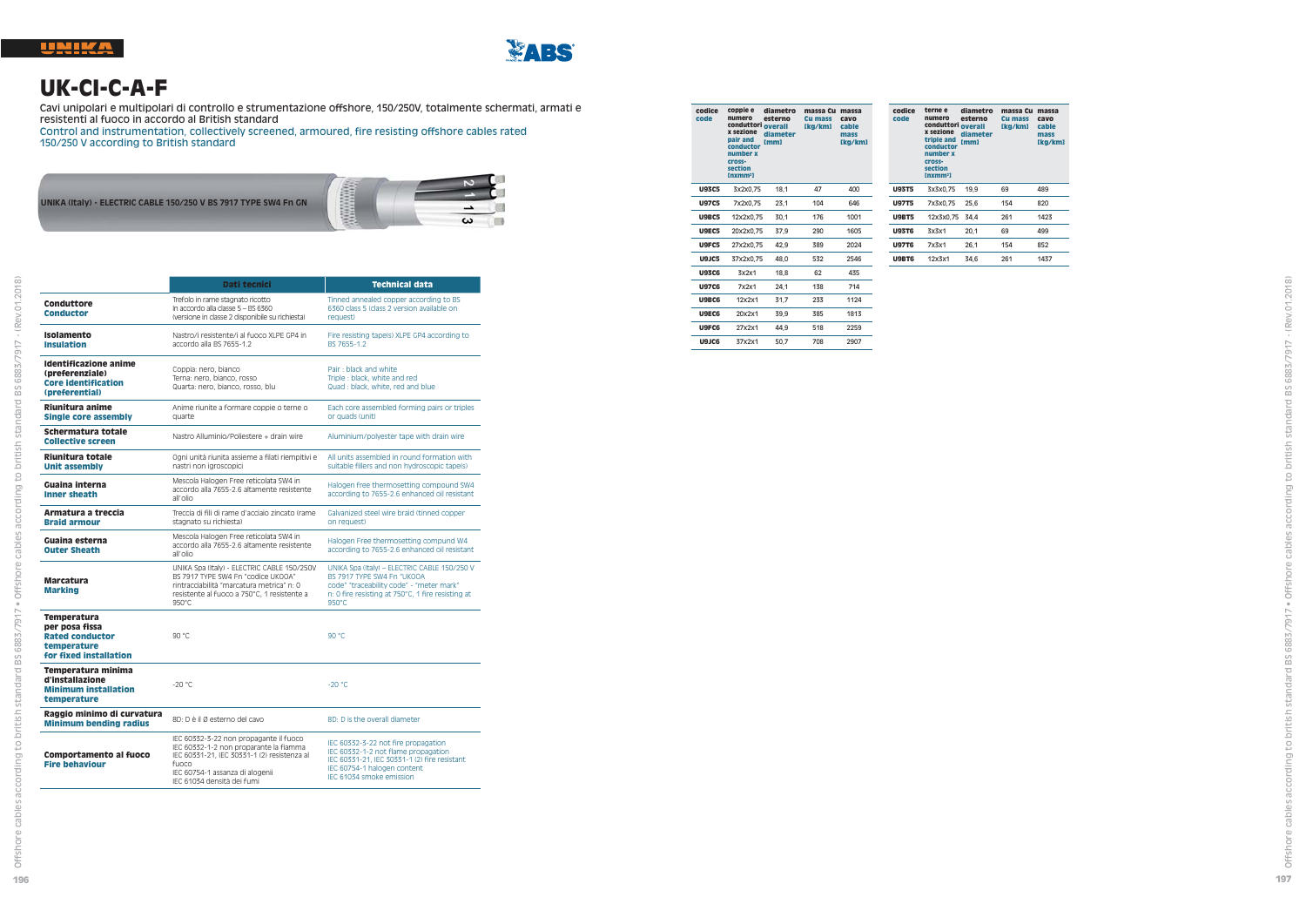



# **UK-CI-C-A-F**

Cavi unipolari e multipolari di controllo e strumentazione offshore, 150/250V, totalmente schermati, armati e resistenti al fuoco in accordo al British standard

Control and instrumentation, collectively screened, armoured, fire resisting offshore cables rated 150/250 V according to British standard

**UNIKA (Italy) - ELECTRIC CABLE 150/250 V BS 7917 TYPE SW4 Fn GN**



|                                                                                                         | Dati tecnici                                                                                                                                                                                              | <b>Technical data</b>                                                                                                                                                                          |  |  |  |
|---------------------------------------------------------------------------------------------------------|-----------------------------------------------------------------------------------------------------------------------------------------------------------------------------------------------------------|------------------------------------------------------------------------------------------------------------------------------------------------------------------------------------------------|--|--|--|
| Conduttore<br><b>Conductor</b>                                                                          | Trefolo in rame stagnato ricotto<br>In accordo alla classe 5 - BS 6360<br>(versione in classe 2 disponibile su richiesta)                                                                                 | Tinned annealed copper according to BS<br>6360 class 5 (class 2 version available on<br>request)                                                                                               |  |  |  |
| Isolamento<br><b>Insulation</b>                                                                         | Nastro/i resistente/i al fuoco XLPE GP4 in<br>accordo alla BS 7655-1.2                                                                                                                                    | Fire resisting tape(s) XLPE GP4 according to<br>BS 7655-1.2                                                                                                                                    |  |  |  |
| <b>Identificazione anime</b><br>(preferenziale)<br><b>Core identification</b><br>(preferential)         | Coppia: nero, bianco<br>Terna: nero, bianco, rosso<br>Quarta: nero, bianco, rosso, blu                                                                                                                    | Pair: black and white<br>Triple: black, white and red<br>Quad: black, white, red and blue                                                                                                      |  |  |  |
| Riunitura anime<br>Single core assembly                                                                 | Anime riunite a formare coppie o terne o<br>quarte                                                                                                                                                        | Each core assembled forming pairs or triples<br>or quads (unit)                                                                                                                                |  |  |  |
| Schermatura totale<br><b>Collective screen</b>                                                          | Nastro Alluminio/Poliestere + drain wire                                                                                                                                                                  | Aluminium/polyester tape with drain wire                                                                                                                                                       |  |  |  |
| Riunitura totale<br><b>Unit assembly</b>                                                                | Ogni unità riunita assieme a filati riempitivi e<br>nastri non igroscopici                                                                                                                                | All units assembled in round formation with<br>suitable fillers and non hydroscopic tape(s)                                                                                                    |  |  |  |
| Guaina interna<br><b>Inner sheath</b>                                                                   | Mescola Halogen Free reticolata SW4 in<br>accordo alla 7655-2.6 altamente resistente<br>all'olio                                                                                                          | Halogen free thermosetting compound SW4<br>according to 7655-2.6 enhanced oil resistant                                                                                                        |  |  |  |
| Armatura a treccia<br><b>Braid armour</b>                                                               | Treccia di fili di rame d'acciaio zincato (rame<br>stagnato su richiesta)                                                                                                                                 | Galvanized steel wire braid (tinned copper<br>on request)                                                                                                                                      |  |  |  |
| Guaina esterna<br><b>Outer Sheath</b>                                                                   | Mescola Halogen Free reticolata SW4 in<br>accordo alla 7655-2.6 altamente resistente<br>all'olio                                                                                                          | Halogen Free thermosetting compund W4<br>according to 7655-2.6 enhanced oil resistant                                                                                                          |  |  |  |
| <b>Marcatura</b><br><b>Marking</b>                                                                      | UNIKA Spa (Italy) - ELECTRIC CABLE 150/250V<br>BS 7917 TYPE SW4 Fn "codice UKOOA"<br>rintracciabilità "marcatura metrica" n: 0<br>resistente al fuoco a 750°C, 1 resistente a<br>$950^{\circ}$ C          | UNIKA Spa (Italy) - ELECTRIC CABLE 150/250 V<br>BS 7917 TYPE SW4 Fn "UKOOA<br>code" "traceability code" - "meter mark"<br>n: 0 fire resisting at 750°C, 1 fire resisting at<br>$950^{\circ}$ C |  |  |  |
| <b>Temperatura</b><br>per posa fissa<br><b>Rated conductor</b><br>temperature<br>for fixed installation | 90 °C                                                                                                                                                                                                     | 90 °C                                                                                                                                                                                          |  |  |  |
| Temperatura minima<br>d'installazione<br><b>Minimum installation</b><br>temperature                     | $-20 °C$                                                                                                                                                                                                  | $-20 °C$                                                                                                                                                                                       |  |  |  |
| Raggio minimo di curvatura<br><b>Minimum bending radius</b>                                             | 8D: D è il Ø esterno del cavo                                                                                                                                                                             | 8D: D is the overall diameter                                                                                                                                                                  |  |  |  |
| <b>Comportamento al fuoco</b><br><b>Fire behaviour</b>                                                  | IEC 60332-3-22 non propagante il fuoco<br>IEC 60332-1-2 non proparante la fiamma<br>IEC 60331-21, IEC 30331-1 (2) resistenza al<br>fuoco<br>IEC 60754-1 assanza di alogenii<br>IEC 61034 densità dei fumi | IEC 60332-3-22 not fire propagation<br>IEC 60332-1-2 not flame propagation<br>IEC 60331-21, IEC 30331-1 (2) fire resistant<br>IEC 60754-1 halogen content<br>IFC 61034 smoke emission          |  |  |  |

| codice<br>code | coppie e<br>numero<br>conduttori overall<br>x sezione<br>pair and<br>conductor<br>number x<br>cross-<br>section<br>Inxmm <sup>2</sup> | diametro<br>esterno<br>diameter<br>[mm] | massa Cu<br>Cu mass<br>[kg/km] | massa<br>cavo<br>cable<br>mass<br>[kg/km] | ¢<br>ò |
|----------------|---------------------------------------------------------------------------------------------------------------------------------------|-----------------------------------------|--------------------------------|-------------------------------------------|--------|
| <b>U93C5</b>   | 3x2x0.75                                                                                                                              | 18,1                                    | 47                             | 400                                       | U      |
| <b>U97C5</b>   | 7x2x0,75                                                                                                                              | 23,1                                    | 104                            | 646                                       | Ü      |
| <b>U9BC5</b>   | 12x2x0.75                                                                                                                             | 30.1                                    | 176                            | 1001                                      | U      |
| U9EC5          | 20x2x0.75                                                                                                                             | 37.9                                    | 290                            | 1605                                      | U      |
| U9FC5          | 27x2x0.75                                                                                                                             | 42.9                                    | 389                            | 2024                                      | U      |
| U9JC5          | 37x2x0.75                                                                                                                             | 48.0                                    | 532                            | 2546                                      | U      |
| <b>U93C6</b>   | 3x2x1                                                                                                                                 | 18.8                                    | 62                             | 435                                       |        |
| <b>U97C6</b>   | 7x2x1                                                                                                                                 | 24.1                                    | 138                            | 714                                       |        |
| U9BC6          | 12x2x1                                                                                                                                | 31.7                                    | 233                            | 1124                                      |        |
| U9EC6          | 20x2x1                                                                                                                                | 39,9                                    | 385                            | 1813                                      |        |
| U9FC6          | 27x2x1                                                                                                                                | 44.9                                    | 518                            | 2259                                      |        |
| U9JC6          | 37x2x1                                                                                                                                | 50.7                                    | 708                            | 2907                                      |        |

| codice<br>code | terne e<br>numero<br>conduttori overall<br>x sezione<br>triple and<br>conductor<br>number x<br>cross-<br>section<br>[nxmm <sup>2</sup> ] | diametro<br>esterno<br>diameter<br>[mm] | massa Cu<br>Cu mass<br>[kg/km] | massa<br>cavo<br>cable<br>mass<br>[kg/km] |
|----------------|------------------------------------------------------------------------------------------------------------------------------------------|-----------------------------------------|--------------------------------|-------------------------------------------|
| <b>U93T5</b>   | 3x3x0.75                                                                                                                                 | 19.9                                    | 69                             | 489                                       |
| <b>U97T5</b>   | 7x3x0.75                                                                                                                                 | 25.6                                    | 154                            | 820                                       |
| <b>U9BT5</b>   | 12x3x0.75                                                                                                                                | 34.4                                    | 261                            | 1423                                      |
| <b>U93T6</b>   | 3x3x1                                                                                                                                    | 20.1                                    | 69                             | 499                                       |
| <b>U97T6</b>   | 7x3x1                                                                                                                                    | 26.1                                    | 154                            | 852                                       |
| <b>U9BT6</b>   | 12x3x1                                                                                                                                   | 34.6                                    | 261                            | 1437                                      |
|                |                                                                                                                                          |                                         |                                |                                           |

ding to british standard BS 6883/7917 - (Rev.01.2018)

acc

dard BS 6883/7917 · Offshore cables

according to british star